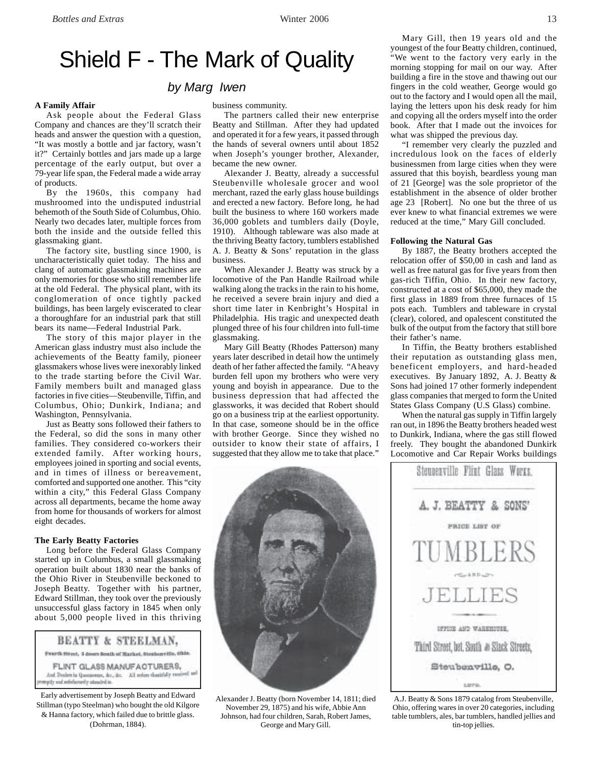# Shield F - The Mark of Quality

# *by Marg Iwen*

#### **A Family Affair**

Ask people about the Federal Glass Company and chances are they'll scratch their heads and answer the question with a question, "It was mostly a bottle and jar factory, wasn't it?" Certainly bottles and jars made up a large percentage of the early output, but over a 79-year life span, the Federal made a wide array of products.

By the 1960s, this company had mushroomed into the undisputed industrial behemoth of the South Side of Columbus, Ohio. Nearly two decades later, multiple forces from both the inside and the outside felled this glassmaking giant.

The factory site, bustling since 1900, is uncharacteristically quiet today. The hiss and clang of automatic glassmaking machines are only memories for those who still remember life at the old Federal. The physical plant, with its conglomeration of once tightly packed buildings, has been largely eviscerated to clear a thoroughfare for an industrial park that still bears its name—Federal Industrial Park.

The story of this major player in the American glass industry must also include the achievements of the Beatty family, pioneer glassmakers whose lives were inexorably linked to the trade starting before the Civil War. Family members built and managed glass factories in five cities—Steubenville, Tiffin, and Columbus, Ohio; Dunkirk, Indiana; and Washington, Pennsylvania.

Just as Beatty sons followed their fathers to the Federal, so did the sons in many other families. They considered co-workers their extended family. After working hours, employees joined in sporting and social events, and in times of illness or bereavement, comforted and supported one another. This "city within a city," this Federal Glass Company across all departments, became the home away from home for thousands of workers for almost eight decades.

# **The Early Beatty Factories**

Long before the Federal Glass Company started up in Columbus, a small glassmaking operation built about 1830 near the banks of the Ohio River in Steubenville beckoned to Joseph Beatty. Together with his partner, Edward Stillman, they took over the previously unsuccessful glass factory in 1845 when only about 5,000 people lived in this thriving

## BEATTY & STEELMAN,

Franth Street, 3 doors fouth of Market, Strategy Hits, Okla.

FLINT GLASS MANUFACTURERS, And Dealers in Quernovere, &c., &c. All retires thankfully receiva frömta yfintaleitet far ylys

Early advertisement by Joseph Beatty and Edward Stillman (typo Steelman) who bought the old Kilgore & Hanna factory, which failed due to brittle glass. (Dohrman, 1884).

business community.

The partners called their new enterprise Beatty and Stillman. After they had updated and operated it for a few years, it passed through the hands of several owners until about 1852 when Joseph's younger brother, Alexander, became the new owner.

Alexander J. Beatty, already a successful Steubenville wholesale grocer and wool merchant, razed the early glass house buildings and erected a new factory. Before long, he had built the business to where 160 workers made 36,000 goblets and tumblers daily (Doyle, 1910). Although tableware was also made at the thriving Beatty factory, tumblers established A. J. Beatty & Sons' reputation in the glass business.

When Alexander J. Beatty was struck by a locomotive of the Pan Handle Railroad while walking along the tracks in the rain to his home, he received a severe brain injury and died a short time later in Kenbright's Hospital in Philadelphia. His tragic and unexpected death plunged three of his four children into full-time glassmaking.

Mary Gill Beatty (Rhodes Patterson) many years later described in detail how the untimely death of her father affected the family. "A heavy burden fell upon my brothers who were very young and boyish in appearance. Due to the business depression that had affected the glassworks, it was decided that Robert should go on a business trip at the earliest opportunity. In that case, someone should be in the office with brother George. Since they wished no outsider to know their state of affairs, I suggested that they allow me to take that place."



Alexander J. Beatty (born November 14, 1811; died November 29, 1875) and his wife, Abbie Ann Johnson, had four children, Sarah, Robert James, George and Mary Gill.

Mary Gill, then 19 years old and the youngest of the four Beatty children, continued, "We went to the factory very early in the morning stopping for mail on our way. After building a fire in the stove and thawing out our fingers in the cold weather, George would go out to the factory and I would open all the mail, laying the letters upon his desk ready for him and copying all the orders myself into the order book. After that I made out the invoices for what was shipped the previous day.

"I remember very clearly the puzzled and incredulous look on the faces of elderly businessmen from large cities when they were assured that this boyish, beardless young man of 21 [George] was the sole proprietor of the establishment in the absence of older brother age 23 [Robert]. No one but the three of us ever knew to what financial extremes we were reduced at the time," Mary Gill concluded.

#### **Following the Natural Gas**

By 1887, the Beatty brothers accepted the relocation offer of \$50,00 in cash and land as well as free natural gas for five years from then gas-rich Tiffin, Ohio. In their new factory, constructed at a cost of \$65,000, they made the first glass in 1889 from three furnaces of 15 pots each. Tumblers and tableware in crystal (clear), colored, and opalescent constituted the bulk of the output from the factory that still bore their father's name.

In Tiffin, the Beatty brothers established their reputation as outstanding glass men, beneficent employers, and hard-headed executives. By January 1892, A. J. Beatty & Sons had joined 17 other formerly independent glass companies that merged to form the United States Glass Company (U.S Glass) combine.

When the natural gas supply in Tiffin largely ran out, in 1896 the Beatty brothers headed west to Dunkirk, Indiana, where the gas still flowed freely. They bought the abandoned Dunkirk Locomotive and Car Repair Works buildings



A.J. Beatty & Sons 1879 catalog from Steubenville, Ohio, offering wares in over 20 categories, including table tumblers, ales, bar tumblers, handled jellies and tin-top jellies.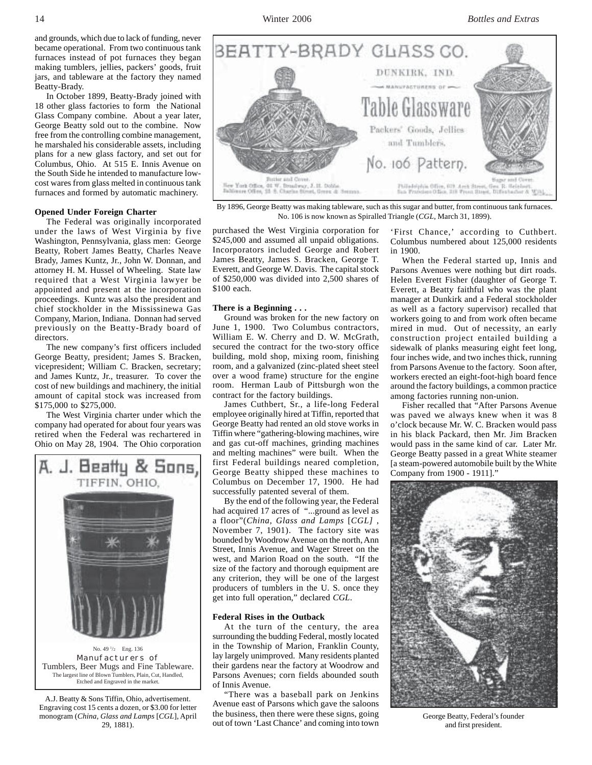and grounds, which due to lack of funding, never became operational. From two continuous tank furnaces instead of pot furnaces they began making tumblers, jellies, packers' goods, fruit jars, and tableware at the factory they named Beatty-Brady.

In October 1899, Beatty-Brady joined with 18 other glass factories to form the National Glass Company combine. About a year later, George Beatty sold out to the combine. Now free from the controlling combine management, he marshaled his considerable assets, including plans for a new glass factory, and set out for Columbus, Ohio. At 515 E. Innis Avenue on the South Side he intended to manufacture lowcost wares from glass melted in continuous tank furnaces and formed by automatic machinery.

# **Opened Under Foreign Charter**

The Federal was originally incorporated under the laws of West Virginia by five Washington, Pennsylvania, glass men: George Beatty, Robert James Beatty, Charles Neave Brady, James Kuntz, Jr., John W. Donnan, and attorney H. M. Hussel of Wheeling. State law required that a West Virginia lawyer be appointed and present at the incorporation proceedings. Kuntz was also the president and chief stockholder in the Mississinewa Gas Company, Marion, Indiana. Donnan had served previously on the Beatty-Brady board of directors.

The new company's first officers included George Beatty, president; James S. Bracken, vicepresident; William C. Bracken, secretary; and James Kuntz, Jr., treasurer. To cover the cost of new buildings and machinery, the initial amount of capital stock was increased from \$175,000 to \$275,000.

The West Virginia charter under which the company had operated for about four years was retired when the Federal was rechartered in Ohio on May 28, 1904. The Ohio corporation



No. 49<sup>1</sup>/<sub>2</sub> Eng. 136 Manufacturers of Tumblers, Beer Mugs and Fine Tableware. The largest line of Blown Tumblers, Plain, Cut, Handled, Etched and Engraved in the market.

A.J. Beatty & Sons Tiffin, Ohio, advertisement. Engraving cost 15 cents a dozen, or \$3.00 for letter monogram (*China, Glass and Lamps* [*CGL*], April 29, 1881).



By 1896, George Beatty was making tableware, such as this sugar and butter, from continuous tank furnaces. No. 106 is now known as Spiralled Triangle (*CGL*, March 31, 1899).

purchased the West Virginia corporation for \$245,000 and assumed all unpaid obligations. Incorporators included George and Robert James Beatty, James S. Bracken, George T. Everett, and George W. Davis. The capital stock of \$250,000 was divided into 2,500 shares of \$100 each.

#### **There is a Beginning . . .**

Ground was broken for the new factory on June 1, 1900. Two Columbus contractors, William E. W. Cherry and D. W. McGrath, secured the contract for the two-story office building, mold shop, mixing room, finishing room, and a galvanized (zinc-plated sheet steel over a wood frame) structure for the engine room. Herman Laub of Pittsburgh won the contract for the factory buildings.

James Cuthbert, Sr., a life-long Federal employee originally hired at Tiffin, reported that George Beatty had rented an old stove works in Tiffin where "gathering-blowing machines, wire and gas cut-off machines, grinding machines and melting machines" were built. When the first Federal buildings neared completion, George Beatty shipped these machines to Columbus on December 17, 1900. He had successfully patented several of them.

By the end of the following year, the Federal had acquired 17 acres of "...ground as level as a floor"(*China, Glass and Lamps* [*CGL]* , November 7, 1901). The factory site was bounded by Woodrow Avenue on the north, Ann Street, Innis Avenue, and Wager Street on the west, and Marion Road on the south. "If the size of the factory and thorough equipment are any criterion, they will be one of the largest producers of tumblers in the U. S. once they get into full operation," declared *CGL*.

### **Federal Rises in the Outback**

At the turn of the century, the area surrounding the budding Federal, mostly located in the Township of Marion, Franklin County, lay largely unimproved. Many residents planted their gardens near the factory at Woodrow and Parsons Avenues; corn fields abounded south of Innis Avenue.

"There was a baseball park on Jenkins Avenue east of Parsons which gave the saloons the business, then there were these signs, going out of town 'Last Chance' and coming into town

'First Chance,' according to Cuthbert. Columbus numbered about 125,000 residents in 1900.

When the Federal started up, Innis and Parsons Avenues were nothing but dirt roads. Helen Everett Fisher (daughter of George T. Everett, a Beatty faithful who was the plant manager at Dunkirk and a Federal stockholder as well as a factory supervisor) recalled that workers going to and from work often became mired in mud. Out of necessity, an early construction project entailed building a sidewalk of planks measuring eight feet long, four inches wide, and two inches thick, running from Parsons Avenue to the factory. Soon after, workers erected an eight-foot-high board fence around the factory buildings, a common practice among factories running non-union.

Fisher recalled that "After Parsons Avenue was paved we always knew when it was 8 o'clock because Mr. W. C. Bracken would pass in his black Packard, then Mr. Jim Bracken would pass in the same kind of car. Later Mr. George Beatty passed in a great White steamer [a steam-powered automobile built by the White Company from 1900 - 1911]."



George Beatty, Federal's founder and first president.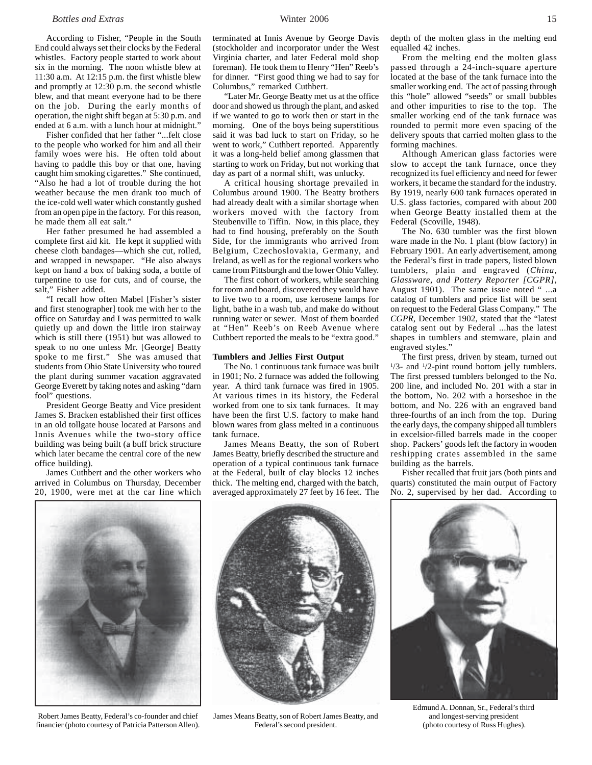### *Bottles and Extras* 15

According to Fisher, "People in the South End could always set their clocks by the Federal whistles. Factory people started to work about six in the morning. The noon whistle blew at 11:30 a.m. At 12:15 p.m. the first whistle blew and promptly at 12:30 p.m. the second whistle blew, and that meant everyone had to be there on the job. During the early months of operation, the night shift began at 5:30 p.m. and ended at 6 a.m. with a lunch hour at midnight."

Fisher confided that her father "...felt close to the people who worked for him and all their family woes were his. He often told about having to paddle this boy or that one, having caught him smoking cigarettes." She continued, "Also he had a lot of trouble during the hot weather because the men drank too much of the ice-cold well water which constantly gushed from an open pipe in the factory. For this reason, he made them all eat salt."

Her father presumed he had assembled a complete first aid kit. He kept it supplied with cheese cloth bandages—which she cut, rolled, and wrapped in newspaper. "He also always kept on hand a box of baking soda, a bottle of turpentine to use for cuts, and of course, the salt," Fisher added.

"I recall how often Mabel [Fisher's sister and first stenographer] took me with her to the office on Saturday and I was permitted to walk quietly up and down the little iron stairway which is still there (1951) but was allowed to speak to no one unless Mr. [George] Beatty spoke to me first." She was amused that students from Ohio State University who toured the plant during summer vacation aggravated George Everett by taking notes and asking "darn fool" questions.

President George Beatty and Vice president James S. Bracken established their first offices in an old tollgate house located at Parsons and Innis Avenues while the two-story office building was being built (a buff brick structure which later became the central core of the new office building).

James Cuthbert and the other workers who arrived in Columbus on Thursday, December 20, 1900, were met at the car line which terminated at Innis Avenue by George Davis (stockholder and incorporator under the West Virginia charter, and later Federal mold shop foreman). He took them to Henry "Hen" Reeb's for dinner. "First good thing we had to say for Columbus," remarked Cuthbert.

"Later Mr. George Beatty met us at the office door and showed us through the plant, and asked if we wanted to go to work then or start in the morning. One of the boys being superstitious said it was bad luck to start on Friday, so he went to work," Cuthbert reported. Apparently it was a long-held belief among glassmen that starting to work on Friday, but not working that day as part of a normal shift, was unlucky.

A critical housing shortage prevailed in Columbus around 1900. The Beatty brothers had already dealt with a similar shortage when workers moved with the factory from Steubenville to Tiffin. Now, in this place, they had to find housing, preferably on the South Side, for the immigrants who arrived from Belgium, Czechoslovakia, Germany, and Ireland, as well as for the regional workers who came from Pittsburgh and the lower Ohio Valley.

The first cohort of workers, while searching for room and board, discovered they would have to live two to a room, use kerosene lamps for light, bathe in a wash tub, and make do without running water or sewer. Most of them boarded at "Hen" Reeb's on Reeb Avenue where Cuthbert reported the meals to be "extra good."

#### **Tumblers and Jellies First Output**

The No. 1 continuous tank furnace was built in 1901; No. 2 furnace was added the following year. A third tank furnace was fired in 1905. At various times in its history, the Federal worked from one to six tank furnaces. It may have been the first U.S. factory to make hand blown wares from glass melted in a continuous tank furnace.

James Means Beatty, the son of Robert James Beatty, briefly described the structure and operation of a typical continuous tank furnace at the Federal, built of clay blocks 12 inches thick. The melting end, charged with the batch, averaged approximately 27 feet by 16 feet. The depth of the molten glass in the melting end equalled 42 inches.

From the melting end the molten glass passed through a 24-inch-square aperture located at the base of the tank furnace into the smaller working end. The act of passing through this "hole" allowed "seeds" or small bubbles and other impurities to rise to the top. The smaller working end of the tank furnace was rounded to permit more even spacing of the delivery spouts that carried molten glass to the forming machines.

Although American glass factories were slow to accept the tank furnace, once they recognized its fuel efficiency and need for fewer workers, it became the standard for the industry. By 1919, nearly 600 tank furnaces operated in U.S. glass factories, compared with about 200 when George Beatty installed them at the Federal (Scoville, 1948).

The No. 630 tumbler was the first blown ware made in the No. 1 plant (blow factory) in February 1901. An early advertisement, among the Federal's first in trade papers, listed blown tumblers, plain and engraved (*China, Glassware, and Pottery Reporter [CGPR]*, August 1901). The same issue noted "...a catalog of tumblers and price list will be sent on request to the Federal Glass Company." The *CGPR*, December 1902, stated that the "latest catalog sent out by Federal ...has the latest shapes in tumblers and stemware, plain and engraved styles."

The first press, driven by steam, turned out  $1/3$ - and  $1/2$ -pint round bottom jelly tumblers. The first pressed tumblers belonged to the No. 200 line, and included No. 201 with a star in the bottom, No. 202 with a horseshoe in the bottom, and No. 226 with an engraved band three-fourths of an inch from the top. During the early days, the company shipped all tumblers in excelsior-filled barrels made in the cooper shop. Packers' goods left the factory in wooden reshipping crates assembled in the same building as the barrels.

Fisher recalled that fruit jars (both pints and quarts) constituted the main output of Factory No. 2, supervised by her dad. According to

Robert James Beatty, Federal's co-founder and chief financier (photo courtesy of Patricia Patterson Allen).

James Means Beatty, son of Robert James Beatty, and Federal's second president.

Edmund A. Donnan, Sr., Federal's third and longest-serving president (photo courtesy of Russ Hughes).



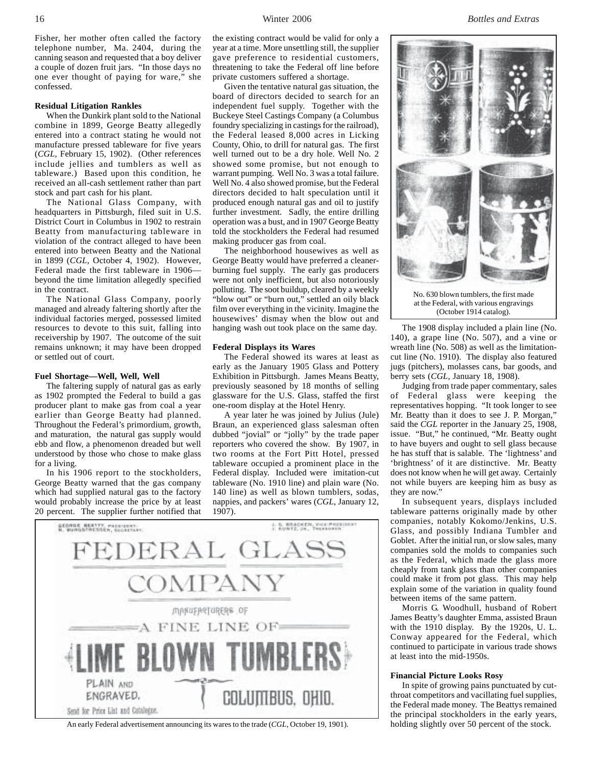Fisher, her mother often called the factory telephone number, Ma. 2404, during the canning season and requested that a boy deliver a couple of dozen fruit jars. "In those days no one ever thought of paying for ware," she confessed.

#### **Residual Litigation Rankles**

When the Dunkirk plant sold to the National combine in 1899, George Beatty allegedly entered into a contract stating he would not manufacture pressed tableware for five years (*CGL*, February 15, 1902). (Other references include jellies and tumblers as well as tableware.) Based upon this condition, he received an all-cash settlement rather than part stock and part cash for his plant.

The National Glass Company, with headquarters in Pittsburgh, filed suit in U.S. District Court in Columbus in 1902 to restrain Beatty from manufacturing tableware in violation of the contract alleged to have been entered into between Beatty and the National in 1899 (*CGL*, October 4, 1902). However, Federal made the first tableware in 1906 beyond the time limitation allegedly specified in the contract.

The National Glass Company, poorly managed and already faltering shortly after the individual factories merged, possessed limited resources to devote to this suit, falling into receivership by 1907. The outcome of the suit remains unknown; it may have been dropped or settled out of court.

#### **Fuel Shortage—Well, Well, Well**

The faltering supply of natural gas as early as 1902 prompted the Federal to build a gas producer plant to make gas from coal a year earlier than George Beatty had planned. Throughout the Federal's primordium, growth, and maturation, the natural gas supply would ebb and flow, a phenomenon dreaded but well understood by those who chose to make glass for a living.

In his 1906 report to the stockholders, George Beatty warned that the gas company which had supplied natural gas to the factory would probably increase the price by at least 20 percent. The supplier further notified that

the existing contract would be valid for only a year at a time. More unsettling still, the supplier gave preference to residential customers, threatening to take the Federal off line before private customers suffered a shortage.

Given the tentative natural gas situation, the board of directors decided to search for an independent fuel supply. Together with the Buckeye Steel Castings Company (a Columbus foundry specializing in castings for the railroad), the Federal leased 8,000 acres in Licking County, Ohio, to drill for natural gas. The first well turned out to be a dry hole. Well No. 2 showed some promise, but not enough to warrant pumping. Well No. 3 was a total failure. Well No. 4 also showed promise, but the Federal directors decided to halt speculation until it produced enough natural gas and oil to justify further investment. Sadly, the entire drilling operation was a bust, and in 1907 George Beatty told the stockholders the Federal had resumed making producer gas from coal.

The neighborhood housewives as well as George Beatty would have preferred a cleanerburning fuel supply. The early gas producers were not only inefficient, but also notoriously polluting. The soot buildup, cleared by a weekly "blow out" or "burn out," settled an oily black film over everything in the vicinity. Imagine the housewives' dismay when the blow out and hanging wash out took place on the same day.

#### **Federal Displays its Wares**

The Federal showed its wares at least as early as the January 1905 Glass and Pottery Exhibition in Pittsburgh. James Means Beatty, previously seasoned by 18 months of selling glassware for the U.S. Glass, staffed the first one-room display at the Hotel Henry.

A year later he was joined by Julius (Jule) Braun, an experienced glass salesman often dubbed "jovial" or "jolly" by the trade paper reporters who covered the show. By 1907, in two rooms at the Fort Pitt Hotel, pressed tableware occupied a prominent place in the Federal display. Included were imitation-cut tableware (No. 1910 line) and plain ware (No. 140 line) as well as blown tumblers, sodas, nappies, and packers' wares (*CGL*, January 12, 1907).



An early Federal advertisement announcing its wares to the trade (*CGL*, October 19, 1901). holding slightly over 50 percent of the stock.



(October 1914 catalog).

The 1908 display included a plain line (No. 140), a grape line (No. 507), and a vine or wreath line (No. 508) as well as the limitationcut line (No. 1910). The display also featured jugs (pitchers), molasses cans, bar goods, and berry sets (*CGL,* January 18, 1908).

Judging from trade paper commentary, sales of Federal glass were keeping the representatives hopping. "It took longer to see Mr. Beatty than it does to see J. P. Morgan," said the *CGL* reporter in the January 25, 1908, issue. "But," he continued, "Mr. Beatty ought to have buyers and ought to sell glass because he has stuff that is salable. The 'lightness' and 'brightness' of it are distinctive. Mr. Beatty does not know when he will get away. Certainly not while buyers are keeping him as busy as they are now."

In subsequent years, displays included tableware patterns originally made by other companies, notably Kokomo/Jenkins, U.S. Glass, and possibly Indiana Tumbler and Goblet. After the initial run, or slow sales, many companies sold the molds to companies such as the Federal, which made the glass more cheaply from tank glass than other companies could make it from pot glass. This may help explain some of the variation in quality found between items of the same pattern.

Morris G. Woodhull, husband of Robert James Beatty's daughter Emma, assisted Braun with the 1910 display. By the 1920s, U. L. Conway appeared for the Federal, which continued to participate in various trade shows at least into the mid-1950s.

#### **Financial Picture Looks Rosy**

In spite of growing pains punctuated by cutthroat competitors and vacillating fuel supplies, the Federal made money. The Beattys remained the principal stockholders in the early years,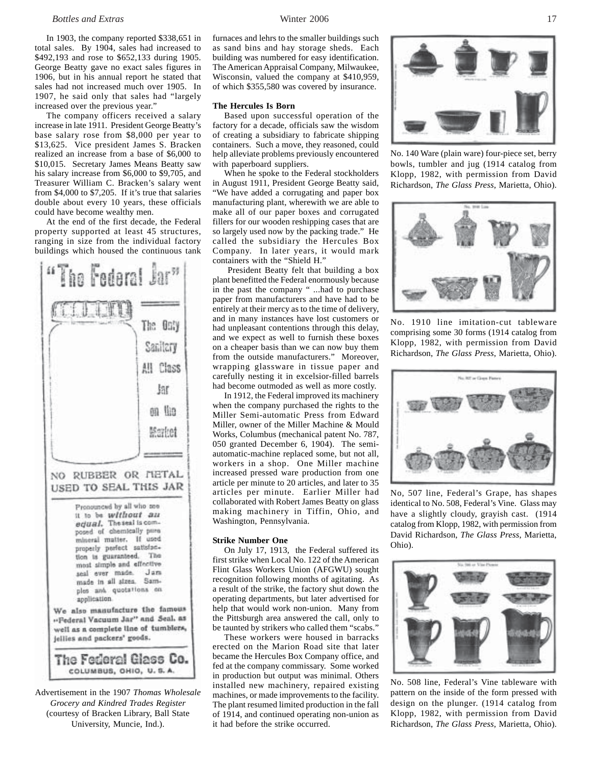### *Bottles and Extras* 17

In 1903, the company reported \$338,651 in total sales. By 1904, sales had increased to \$492,193 and rose to \$652,133 during 1905. George Beatty gave no exact sales figures in 1906, but in his annual report he stated that sales had not increased much over 1905. In 1907, he said only that sales had "largely increased over the previous year."

The company officers received a salary increase in late 1911. President George Beatty's base salary rose from \$8,000 per year to \$13,625. Vice president James S. Bracken realized an increase from a base of \$6,000 to \$10,015. Secretary James Means Beatty saw his salary increase from \$6,000 to \$9,705, and Treasurer William C. Bracken's salary went from \$4,000 to \$7,205. If it's true that salaries double about every 10 years, these officials could have become wealthy men.

At the end of the first decade, the Federal property supported at least 45 structures, ranging in size from the individual factory buildings which housed the continuous tank



Advertisement in the 1907 *Thomas Wholesale Grocery and Kindred Trades Register* (courtesy of Bracken Library, Ball State University, Muncie, Ind.).

furnaces and lehrs to the smaller buildings such as sand bins and hay storage sheds. Each building was numbered for easy identification. The American Appraisal Company, Milwaukee, Wisconsin, valued the company at \$410,959, of which \$355,580 was covered by insurance.

#### **The Hercules Is Born**

Based upon successful operation of the factory for a decade, officials saw the wisdom of creating a subsidiary to fabricate shipping containers. Such a move, they reasoned, could help alleviate problems previously encountered with paperboard suppliers.

When he spoke to the Federal stockholders in August 1911, President George Beatty said, "We have added a corrugating and paper box manufacturing plant, wherewith we are able to make all of our paper boxes and corrugated fillers for our wooden reshipping cases that are so largely used now by the packing trade." He called the subsidiary the Hercules Box Company. In later years, it would mark containers with the "Shield H."

 President Beatty felt that building a box plant benefitted the Federal enormously because in the past the company " ...had to purchase paper from manufacturers and have had to be entirely at their mercy as to the time of delivery, and in many instances have lost customers or had unpleasant contentions through this delay, and we expect as well to furnish these boxes on a cheaper basis than we can now buy them from the outside manufacturers." Moreover, wrapping glassware in tissue paper and carefully nesting it in excelsior-filled barrels had become outmoded as well as more costly.

In 1912, the Federal improved its machinery when the company purchased the rights to the Miller Semi-automatic Press from Edward Miller, owner of the Miller Machine & Mould Works, Columbus (mechanical patent No. 787, 050 granted December 6, 1904). The semiautomatic-machine replaced some, but not all, workers in a shop. One Miller machine increased pressed ware production from one article per minute to 20 articles, and later to 35 articles per minute. Earlier Miller had collaborated with Robert James Beatty on glass making machinery in Tiffin, Ohio, and Washington, Pennsylvania.

#### **Strike Number One**

On July 17, 1913, the Federal suffered its first strike when Local No. 122 of the American Flint Glass Workers Union (AFGWU) sought recognition following months of agitating. As a result of the strike, the factory shut down the operating departments, but later advertised for help that would work non-union. Many from the Pittsburgh area answered the call, only to be taunted by strikers who called them "scabs."

These workers were housed in barracks erected on the Marion Road site that later became the Hercules Box Company office, and fed at the company commissary. Some worked in production but output was minimal. Others installed new machinery, repaired existing machines, or made improvements to the facility. The plant resumed limited production in the fall of 1914, and continued operating non-union as it had before the strike occurred.



No. 140 Ware (plain ware) four-piece set, berry bowls, tumbler and jug (1914 catalog from Klopp, 1982, with permission from David Richardson, *The Glass Press*, Marietta, Ohio).



No. 1910 line imitation-cut tableware comprising some 30 forms (1914 catalog from Klopp, 1982, with permission from David Richardson, *The Glass Press*, Marietta, Ohio).



No, 507 line, Federal's Grape, has shapes identical to No. 508, Federal's Vine. Glass may have a slightly cloudy, grayish cast. (1914 catalog from Klopp, 1982, with permission from David Richardson, *The Glass Press*, Marietta, Ohio).



No. 508 line, Federal's Vine tableware with pattern on the inside of the form pressed with design on the plunger. (1914 catalog from Klopp, 1982, with permission from David Richardson, *The Glass Press*, Marietta, Ohio).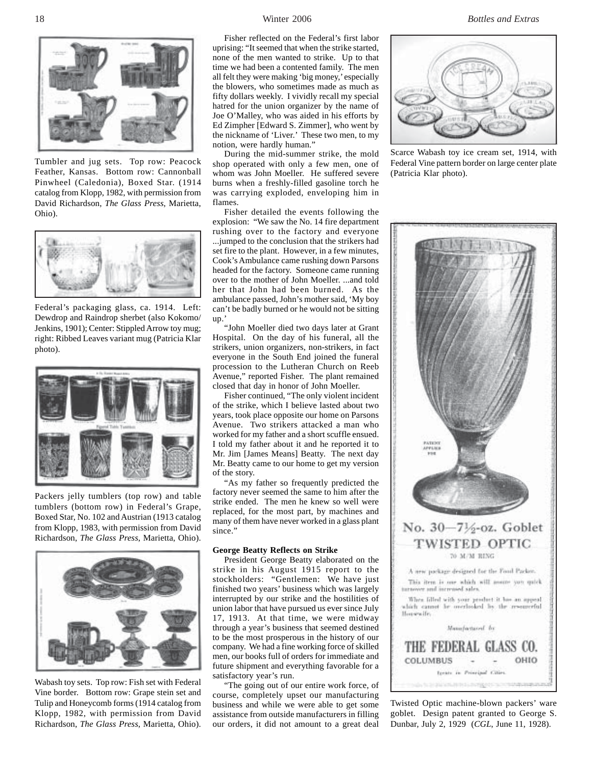

Tumbler and jug sets. Top row: Peacock Feather, Kansas. Bottom row: Cannonball Pinwheel (Caledonia), Boxed Star. (1914 catalog from Klopp, 1982, with permission from David Richardson, *The Glass Press*, Marietta, Ohio).



Federal's packaging glass, ca. 1914. Left: Dewdrop and Raindrop sherbet (also Kokomo/ Jenkins, 1901); Center: Stippled Arrow toy mug; right: Ribbed Leaves variant mug (Patricia Klar photo).



Packers jelly tumblers (top row) and table tumblers (bottom row) in Federal's Grape, Boxed Star, No. 102 and Austrian (1913 catalog from Klopp, 1983, with permission from David Richardson, *The Glass Press*, Marietta, Ohio).



Wabash toy sets. Top row: Fish set with Federal Vine border. Bottom row: Grape stein set and Tulip and Honeycomb forms (1914 catalog from Klopp, 1982, with permission from David Richardson, *The Glass Press*, Marietta, Ohio).

Fisher reflected on the Federal's first labor uprising: "It seemed that when the strike started, none of the men wanted to strike. Up to that time we had been a contented family. The men all felt they were making 'big money,' especially the blowers, who sometimes made as much as fifty dollars weekly. I vividly recall my special hatred for the union organizer by the name of Joe O'Malley, who was aided in his efforts by Ed Zimpher [Edward S. Zimmer], who went by the nickname of 'Liver.' These two men, to my notion, were hardly human."

During the mid-summer strike, the mold shop operated with only a few men, one of whom was John Moeller. He suffered severe burns when a freshly-filled gasoline torch he was carrying exploded, enveloping him in flames.

Fisher detailed the events following the explosion: "We saw the No. 14 fire department rushing over to the factory and everyone ...jumped to the conclusion that the strikers had set fire to the plant. However, in a few minutes, Cook's Ambulance came rushing down Parsons headed for the factory. Someone came running over to the mother of John Moeller. ...and told her that John had been burned. As the ambulance passed, John's mother said, 'My boy can't be badly burned or he would not be sitting up.'

"John Moeller died two days later at Grant Hospital. On the day of his funeral, all the strikers, union organizers, non-strikers, in fact everyone in the South End joined the funeral procession to the Lutheran Church on Reeb Avenue," reported Fisher. The plant remained closed that day in honor of John Moeller.

Fisher continued, "The only violent incident of the strike, which I believe lasted about two years, took place opposite our home on Parsons Avenue. Two strikers attacked a man who worked for my father and a short scuffle ensued. I told my father about it and he reported it to Mr. Jim [James Means] Beatty. The next day Mr. Beatty came to our home to get my version of the story.

"As my father so frequently predicted the factory never seemed the same to him after the strike ended. The men he knew so well were replaced, for the most part, by machines and many of them have never worked in a glass plant since."

#### **George Beatty Reflects on Strike**

President George Beatty elaborated on the strike in his August 1915 report to the stockholders: "Gentlemen: We have just finished two years' business which was largely interrupted by our strike and the hostilities of union labor that have pursued us ever since July 17, 1913. At that time, we were midway through a year's business that seemed destined to be the most prosperous in the history of our company. We had a fine working force of skilled men, our books full of orders for immediate and future shipment and everything favorable for a satisfactory year's run.

"The going out of our entire work force, of course, completely upset our manufacturing business and while we were able to get some assistance from outside manufacturers in filling our orders, it did not amount to a great deal

18 Winter 2006 *Bottles and Extras*



Scarce Wabash toy ice cream set, 1914, with Federal Vine pattern border on large center plate (Patricia Klar photo).



Twisted Optic machine-blown packers' ware goblet. Design patent granted to George S. Dunbar, July 2, 1929 (*CGL*, June 11, 1928).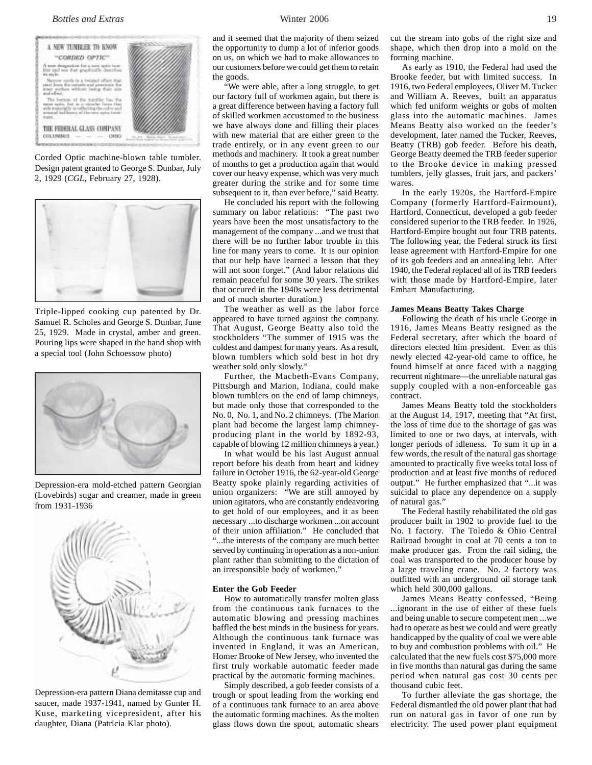### *Bottles and Extras* 19



Corded Optic machine-blown table tumbler. Design patent granted to George S. Dunbar, July 2, 1929 (*CGL*, February 27, 1928).



Triple-lipped cooking cup patented by Dr. Samuel R. Scholes and George S. Dunbar, June 25, 1929. Made in crystal, amber and green. Pouring lips were shaped in the hand shop with a special tool (John Schoessow photo)



Depression-era mold-etched pattern Georgian (Lovebirds) sugar and creamer, made in green from 1931-1936



Depression-era pattern Diana demitasse cup and saucer, made 1937-1941, named by Gunter H. Kuse, marketing vicepresident, after his daughter, Diana (Patricia Klar photo).

and it seemed that the majority of them seized the opportunity to dump a lot of inferior goods on us, on which we had to make allowances to our customers before we could get them to retain the goods.

"We were able, after a long struggle, to get our factory full of workmen again, but there is a great difference between having a factory full of skilled workmen accustomed to the business we have always done and filling their places with new material that are either green to the trade entirely, or in any event green to our methods and machinery. It took a great number of months to get a production again that would cover our heavy expense, which was very much greater during the strike and for some time subsequent to it, than ever before," said Beatty.

He concluded his report with the following summary on labor relations: "The past two years have been the most unsatisfactory to the management of the company ...and we trust that there will be no further labor trouble in this line for many years to come. It is our opinion that our help have learned a lesson that they will not soon forget." (And labor relations did remain peaceful for some 30 years. The strikes that occured in the 1940s were less detrimental and of much shorter duration.)

The weather as well as the labor force appeared to have turned against the company. That August, George Beatty also told the stockholders "The summer of 1915 was the coldest and dampest for many years. As a result, blown tumblers which sold best in hot dry weather sold only slowly."

Further, the Macbeth-Evans Company, Pittsburgh and Marion, Indiana, could make blown tumblers on the end of lamp chimneys, but made only those that corresponded to the No. 0, No. 1, and No. 2 chimneys. (The Marion plant had become the largest lamp chimneyproducing plant in the world by 1892-93, capable of blowing 12 million chimneys a year.)

In what would be his last August annual report before his death from heart and kidney failure in October 1916, the 62-year-old George Beatty spoke plainly regarding activities of union organizers: "We are still annoyed by union agitators, who are constantly endeavoring to get hold of our employees, and it as been necessary ...to discharge workmen ...on account of their union affiliation." He concluded that "...the interests of the company are much better served by continuing in operation as a non-union plant rather than submitting to the dictation of an irresponsible body of workmen."

### **Enter the Gob Feeder**

How to automatically transfer molten glass from the continuous tank furnaces to the automatic blowing and pressing machines baffled the best minds in the business for years. Although the continuous tank furnace was invented in England, it was an American, Homer Brooke of New Jersey, who invented the first truly workable automatic feeder made practical by the automatic forming machines.

Simply described, a gob feeder consists of a trough or spout leading from the working end of a continuous tank furnace to an area above the automatic forming machines. As the molten glass flows down the spout, automatic shears

cut the stream into gobs of the right size and shape, which then drop into a mold on the forming machine.

As early as 1910, the Federal had used the Brooke feeder, but with limited success. In 1916, two Federal employees, Oliver M. Tucker and William A. Reeves, built an apparatus which fed uniform weights or gobs of molten glass into the automatic machines. James Means Beatty also worked on the feeder's development, later named the Tucker, Reeves, Beatty (TRB) gob feeder. Before his death, George Beatty deemed the TRB feeder superior to the Brooke device in making pressed tumblers, jelly glasses, fruit jars, and packers' wares.

In the early 1920s, the Hartford-Empire Company (formerly Hartford-Fairmount), Hartford, Connecticut, developed a gob feeder considered superior to the TRB feeder. In 1926, Hartford-Empire bought out four TRB patents. The following year, the Federal struck its first lease agreement with Hartford-Empire for one of its gob feeders and an annealing lehr. After 1940, the Federal replaced all of its TRB feeders with those made by Hartford-Empire, later Emhart Manufacturing.

#### **James Means Beatty Takes Charge**

Following the death of his uncle George in 1916, James Means Beatty resigned as the Federal secretary, after which the board of directors elected him president. Even as this newly elected 42-year-old came to office, he found himself at once faced with a nagging recurrent nightmare—the unreliable natural gas supply coupled with a non-enforceable gas contract.

James Means Beatty told the stockholders at the August 14, 1917, meeting that "At first, the loss of time due to the shortage of gas was limited to one or two days, at intervals, with longer periods of idleness. To sum it up in a few words, the result of the natural gas shortage amounted to practically five weeks total loss of production and at least five months of reduced output." He further emphasized that "...it was suicidal to place any dependence on a supply of natural gas."

The Federal hastily rehabilitated the old gas producer built in 1902 to provide fuel to the No. 1 factory. The Toledo & Ohio Central Railroad brought in coal at 70 cents a ton to make producer gas. From the rail siding, the coal was transported to the producer house by a large traveling crane. No. 2 factory was outfitted with an underground oil storage tank which held 300,000 gallons.

James Means Beatty confessed, "Being ...ignorant in the use of either of these fuels and being unable to secure competent men ...we had to operate as best we could and were greatly handicapped by the quality of coal we were able to buy and combustion problems with oil." He calculated that the new fuels cost \$75,000 more in five months than natural gas during the same period when natural gas cost 30 cents per thousand cubic feet.

To further alleviate the gas shortage, the Federal dismantled the old power plant that had run on natural gas in favor of one run by electricity. The used power plant equipment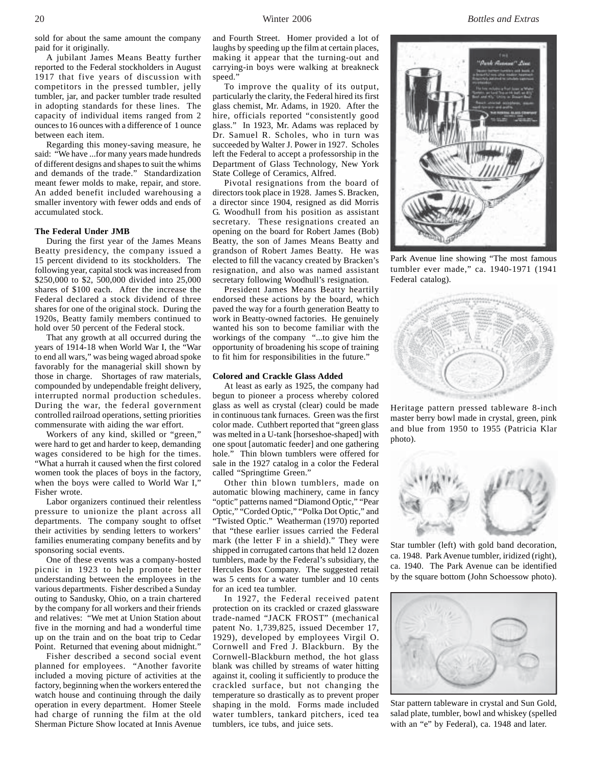sold for about the same amount the company paid for it originally.

A jubilant James Means Beatty further reported to the Federal stockholders in August 1917 that five years of discussion with competitors in the pressed tumbler, jelly tumbler, jar, and packer tumbler trade resulted in adopting standards for these lines. The capacity of individual items ranged from 2 ounces to 16 ounces with a difference of 1 ounce between each item.

Regarding this money-saving measure, he said: "We have ...for many years made hundreds of different designs and shapes to suit the whims and demands of the trade." Standardization meant fewer molds to make, repair, and store. An added benefit included warehousing a smaller inventory with fewer odds and ends of accumulated stock.

#### **The Federal Under JMB**

During the first year of the James Means Beatty presidency, the company issued a 15 percent dividend to its stockholders. The following year, capital stock was increased from \$250,000 to \$2, 500,000 divided into 25,000 shares of \$100 each. After the increase the Federal declared a stock dividend of three shares for one of the original stock. During the 1920s, Beatty family members continued to hold over 50 percent of the Federal stock.

That any growth at all occurred during the years of 1914-18 when World War I, the "War to end all wars," was being waged abroad spoke favorably for the managerial skill shown by those in charge. Shortages of raw materials, compounded by undependable freight delivery, interrupted normal production schedules. During the war, the federal government controlled railroad operations, setting priorities commensurate with aiding the war effort.

Workers of any kind, skilled or "green," were hard to get and harder to keep, demanding wages considered to be high for the times. "What a hurrah it caused when the first colored women took the places of boys in the factory, when the boys were called to World War I," Fisher wrote.

Labor organizers continued their relentless pressure to unionize the plant across all departments. The company sought to offset their activities by sending letters to workers' families enumerating company benefits and by sponsoring social events.

One of these events was a company-hosted picnic in 1923 to help promote better understanding between the employees in the various departments. Fisher described a Sunday outing to Sandusky, Ohio, on a train chartered by the company for all workers and their friends and relatives: "We met at Union Station about five in the morning and had a wonderful time up on the train and on the boat trip to Cedar Point. Returned that evening about midnight."

Fisher described a second social event planned for employees. "Another favorite included a moving picture of activities at the factory, beginning when the workers entered the watch house and continuing through the daily operation in every department. Homer Steele had charge of running the film at the old Sherman Picture Show located at Innis Avenue and Fourth Street. Homer provided a lot of laughs by speeding up the film at certain places, making it appear that the turning-out and carrying-in boys were walking at breakneck speed."

To improve the quality of its output, particularly the clarity, the Federal hired its first glass chemist, Mr. Adams, in 1920. After the hire, officials reported "consistently good glass." In 1923, Mr. Adams was replaced by Dr. Samuel R. Scholes, who in turn was succeeded by Walter J. Power in 1927. Scholes left the Federal to accept a professorship in the Department of Glass Technology, New York State College of Ceramics, Alfred.

Pivotal resignations from the board of directors took place in 1928. James S. Bracken, a director since 1904, resigned as did Morris G. Woodhull from his position as assistant secretary. These resignations created an opening on the board for Robert James (Bob) Beatty, the son of James Means Beatty and grandson of Robert James Beatty. He was elected to fill the vacancy created by Bracken's resignation, and also was named assistant secretary following Woodhull's resignation.

President James Means Beatty heartily endorsed these actions by the board, which paved the way for a fourth generation Beatty to work in Beatty-owned factories. He genuinely wanted his son to become familiar with the workings of the company "...to give him the opportunity of broadening his scope of training to fit him for responsibilities in the future."

#### **Colored and Crackle Glass Added**

At least as early as 1925, the company had begun to pioneer a process whereby colored glass as well as crystal (clear) could be made in continuous tank furnaces. Green was the first color made. Cuthbert reported that "green glass was melted in a U-tank [horseshoe-shaped] with one spout [automatic feeder] and one gathering hole." Thin blown tumblers were offered for sale in the 1927 catalog in a color the Federal called "Springtime Green."

Other thin blown tumblers, made on automatic blowing machinery, came in fancy "optic" patterns named "Diamond Optic," "Pear Optic," "Corded Optic," "Polka Dot Optic," and "Twisted Optic." Weatherman (1970) reported that "these earlier issues carried the Federal mark (the letter F in a shield)." They were shipped in corrugated cartons that held 12 dozen tumblers, made by the Federal's subsidiary, the Hercules Box Company. The suggested retail was 5 cents for a water tumbler and 10 cents for an iced tea tumbler.

In 1927, the Federal received patent protection on its crackled or crazed glassware trade-named "JACK FROST" (mechanical patent No. 1,739,825, issued December 17, 1929), developed by employees Virgil O. Cornwell and Fred J. Blackburn. By the Cornwell-Blackburn method, the hot glass blank was chilled by streams of water hitting against it, cooling it sufficiently to produce the crackled surface, but not changing the temperature so drastically as to prevent proper shaping in the mold. Forms made included water tumblers, tankard pitchers, iced tea tumblers, ice tubs, and juice sets.



Park Avenue line showing "The most famous tumbler ever made," ca. 1940-1971 (1941 Federal catalog).



Heritage pattern pressed tableware 8-inch master berry bowl made in crystal, green, pink and blue from 1950 to 1955 (Patricia Klar photo).



Star tumbler (left) with gold band decoration, ca. 1948. Park Avenue tumbler, iridized (right), ca. 1940. The Park Avenue can be identified by the square bottom (John Schoessow photo).



Star pattern tableware in crystal and Sun Gold, salad plate, tumbler, bowl and whiskey (spelled with an "e" by Federal), ca. 1948 and later.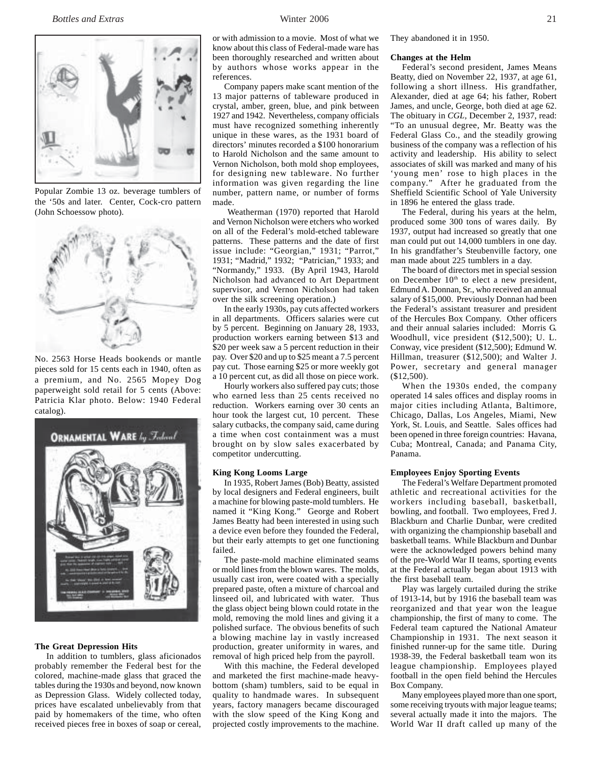

Popular Zombie 13 oz. beverage tumblers of the '50s and later. Center, Cock-cro pattern (John Schoessow photo).



No. 2563 Horse Heads bookends or mantle pieces sold for 15 cents each in 1940, often as a premium, and No. 2565 Mopey Dog paperweight sold retail for 5 cents (Above: Patricia Klar photo. Below: 1940 Federal catalog).



#### **The Great Depression Hits**

In addition to tumblers, glass aficionados probably remember the Federal best for the colored, machine-made glass that graced the tables during the 1930s and beyond, now known as Depression Glass. Widely collected today, prices have escalated unbelievably from that paid by homemakers of the time, who often received pieces free in boxes of soap or cereal,

or with admission to a movie. Most of what we know about this class of Federal-made ware has been thoroughly researched and written about by authors whose works appear in the references.

Company papers make scant mention of the 13 major patterns of tableware produced in crystal, amber, green, blue, and pink between 1927 and 1942. Nevertheless, company officials must have recognized something inherently unique in these wares, as the 1931 board of directors' minutes recorded a \$100 honorarium to Harold Nicholson and the same amount to Vernon Nicholson, both mold shop employees, for designing new tableware. No further information was given regarding the line number, pattern name, or number of forms made.

 Weatherman (1970) reported that Harold and Vernon Nicholson were etchers who worked on all of the Federal's mold-etched tableware patterns. These patterns and the date of first issue include: "Georgian," 1931; "Parrot," 1931; "Madrid," 1932; "Patrician," 1933; and "Normandy," 1933. (By April 1943, Harold Nicholson had advanced to Art Department supervisor, and Vernon Nicholson had taken over the silk screening operation.)

In the early 1930s, pay cuts affected workers in all departments. Officers salaries were cut by 5 percent. Beginning on January 28, 1933, production workers earning between \$13 and \$20 per week saw a 5 percent reduction in their pay. Over \$20 and up to \$25 meant a 7.5 percent pay cut. Those earning \$25 or more weekly got a 10 percent cut, as did all those on piece work.

Hourly workers also suffered pay cuts; those who earned less than 25 cents received no reduction. Workers earning over 30 cents an hour took the largest cut, 10 percent. These salary cutbacks, the company said, came during a time when cost containment was a must brought on by slow sales exacerbated by competitor undercutting.

#### **King Kong Looms Large**

In 1935, Robert James (Bob) Beatty, assisted by local designers and Federal engineers, built a machine for blowing paste-mold tumblers. He named it "King Kong." George and Robert James Beatty had been interested in using such a device even before they founded the Federal, but their early attempts to get one functioning failed.

The paste-mold machine eliminated seams or mold lines from the blown wares. The molds, usually cast iron, were coated with a specially prepared paste, often a mixture of charcoal and linseed oil, and lubricated with water. Thus the glass object being blown could rotate in the mold, removing the mold lines and giving it a polished surface. The obvious benefits of such a blowing machine lay in vastly increased production, greater uniformity in wares, and removal of high priced help from the payroll.

With this machine, the Federal developed and marketed the first machine-made heavybottom (sham) tumblers, said to be equal in quality to handmade wares. In subsequent years, factory managers became discouraged with the slow speed of the King Kong and projected costly improvements to the machine.

They abandoned it in 1950.

#### **Changes at the Helm**

Federal's second president, James Means Beatty, died on November 22, 1937, at age 61, following a short illness. His grandfather, Alexander, died at age 64; his father, Robert James, and uncle, George, both died at age 62. The obituary in *CGL,* December 2, 1937, read: "To an unusual degree, Mr. Beatty was the Federal Glass Co., and the steadily growing business of the company was a reflection of his activity and leadership. His ability to select associates of skill was marked and many of his 'young men' rose to high places in the company." After he graduated from the Sheffield Scientific School of Yale University in 1896 he entered the glass trade.

The Federal, during his years at the helm, produced some 300 tons of wares daily. By 1937, output had increased so greatly that one man could put out 14,000 tumblers in one day. In his grandfather's Steubenville factory, one man made about 225 tumblers in a day.

The board of directors met in special session on December 10<sup>th</sup> to elect a new president, Edmund A. Donnan, Sr., who received an annual salary of \$15,000. Previously Donnan had been the Federal's assistant treasurer and president of the Hercules Box Company. Other officers and their annual salaries included: Morris G. Woodhull, vice president (\$12,500); U. L. Conway, vice president (\$12,500); Edmund W. Hillman, treasurer (\$12,500); and Walter J. Power, secretary and general manager (\$12,500).

When the 1930s ended, the company operated 14 sales offices and display rooms in major cities including Atlanta, Baltimore, Chicago, Dallas, Los Angeles, Miami, New York, St. Louis, and Seattle. Sales offices had been opened in three foreign countries: Havana, Cuba; Montreal, Canada; and Panama City, Panama.

#### **Employees Enjoy Sporting Events**

The Federal's Welfare Department promoted athletic and recreational activities for the workers including baseball, basketball, bowling, and football. Two employees, Fred J. Blackburn and Charlie Dunbar, were credited with organizing the championship baseball and basketball teams. While Blackburn and Dunbar were the acknowledged powers behind many of the pre-World War II teams, sporting events at the Federal actually began about 1913 with the first baseball team.

Play was largely curtailed during the strike of 1913-14, but by 1916 the baseball team was reorganized and that year won the league championship, the first of many to come. The Federal team captured the National Amateur Championship in 1931. The next season it finished runner-up for the same title. During 1938-39, the Federal basketball team won its league championship. Employees played football in the open field behind the Hercules Box Company.

Many employees played more than one sport, some receiving tryouts with major league teams; several actually made it into the majors. The World War II draft called up many of the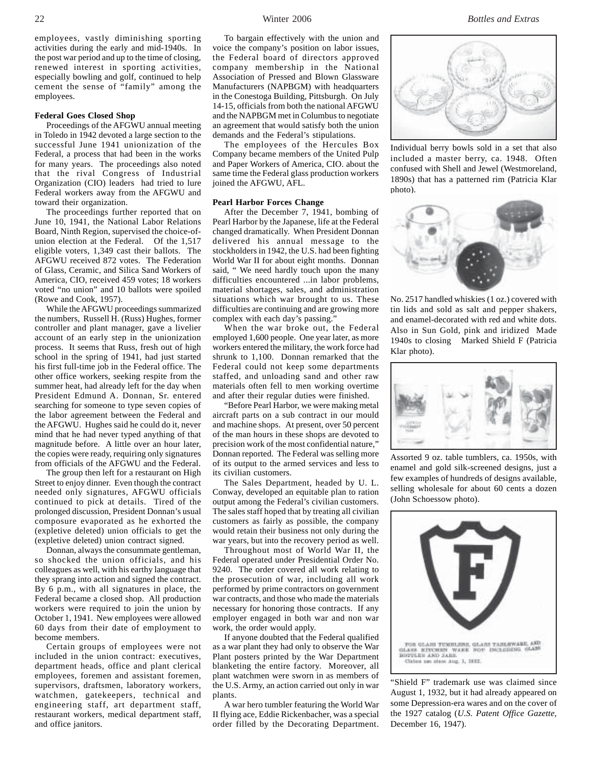employees, vastly diminishing sporting activities during the early and mid-1940s. In the post war period and up to the time of closing, renewed interest in sporting activities, especially bowling and golf, continued to help cement the sense of "family" among the employees.

### **Federal Goes Closed Shop**

Proceedings of the AFGWU annual meeting in Toledo in 1942 devoted a large section to the successful June 1941 unionization of the Federal, a process that had been in the works for many years. The proceedings also noted that the rival Congress of Industrial Organization (CIO) leaders had tried to lure Federal workers away from the AFGWU and toward their organization.

The proceedings further reported that on June 10, 1941, the National Labor Relations Board, Ninth Region, supervised the choice-ofunion election at the Federal. Of the 1,517 eligible voters, 1,349 cast their ballots. The AFGWU received 872 votes. The Federation of Glass, Ceramic, and Silica Sand Workers of America, CIO, received 459 votes; 18 workers voted "no union" and 10 ballots were spoiled (Rowe and Cook, 1957).

While the AFGWU proceedings summarized the numbers, Russell H. (Russ) Hughes, former controller and plant manager, gave a livelier account of an early step in the unionization process. It seems that Russ, fresh out of high school in the spring of 1941, had just started his first full-time job in the Federal office. The other office workers, seeking respite from the summer heat, had already left for the day when President Edmund A. Donnan, Sr. entered searching for someone to type seven copies of the labor agreement between the Federal and the AFGWU. Hughes said he could do it, never mind that he had never typed anything of that magnitude before. A little over an hour later, the copies were ready, requiring only signatures from officials of the AFGWU and the Federal.

The group then left for a restaurant on High Street to enjoy dinner. Even though the contract needed only signatures, AFGWU officials continued to pick at details. Tired of the prolonged discussion, President Donnan's usual composure evaporated as he exhorted the (expletive deleted) union officials to get the (expletive deleted) union contract signed.

Donnan, always the consummate gentleman, so shocked the union officials, and his colleagues as well, with his earthy language that they sprang into action and signed the contract. By 6 p.m., with all signatures in place, the Federal became a closed shop. All production workers were required to join the union by October 1, 1941. New employees were allowed 60 days from their date of employment to become members.

Certain groups of employees were not included in the union contract: executives, department heads, office and plant clerical employees, foremen and assistant foremen, supervisors, draftsmen, laboratory workers, watchmen, gatekeepers, technical and engineering staff, art department staff, restaurant workers, medical department staff, and office janitors.

To bargain effectively with the union and voice the company's position on labor issues, the Federal board of directors approved company membership in the National Association of Pressed and Blown Glassware Manufacturers (NAPBGM) with headquarters in the Conestoga Building, Pittsburgh. On July 14-15, officials from both the national AFGWU and the NAPBGM met in Columbus to negotiate an agreement that would satisfy both the union demands and the Federal's stipulations.

The employees of the Hercules Box Company became members of the United Pulp and Paper Workers of America, CIO. about the same time the Federal glass production workers joined the AFGWU, AFL.

#### **Pearl Harbor Forces Change**

After the December 7, 1941, bombing of Pearl Harbor by the Japanese, life at the Federal changed dramatically. When President Donnan delivered his annual message to the stockholders in 1942, the U.S. had been fighting World War II for about eight months. Donnan said, " We need hardly touch upon the many difficulties encountered ...in labor problems, material shortages, sales, and administration situations which war brought to us. These difficulties are continuing and are growing more complex with each day's passing."

When the war broke out, the Federal employed 1,600 people. One year later, as more workers entered the military, the work force had shrunk to 1,100. Donnan remarked that the Federal could not keep some departments staffed, and unloading sand and other raw materials often fell to men working overtime and after their regular duties were finished.

"Before Pearl Harbor, we were making metal aircraft parts on a sub contract in our mould and machine shops. At present, over 50 percent of the man hours in these shops are devoted to precision work of the most confidential nature," Donnan reported. The Federal was selling more of its output to the armed services and less to its civilian customers.

The Sales Department, headed by U. L. Conway, developed an equitable plan to ration output among the Federal's civilian customers. The sales staff hoped that by treating all civilian customers as fairly as possible, the company would retain their business not only during the war years, but into the recovery period as well.

Throughout most of World War II, the Federal operated under Presidential Order No. 9240. The order covered all work relating to the prosecution of war, including all work performed by prime contractors on government war contracts, and those who made the materials necessary for honoring those contracts. If any employer engaged in both war and non war work, the order would apply.

If anyone doubted that the Federal qualified as a war plant they had only to observe the War Plant posters printed by the War Department blanketing the entire factory. Moreover, all plant watchmen were sworn in as members of the U.S. Army, an action carried out only in war plants.

A war hero tumbler featuring the World War II flying ace, Eddie Rickenbacher, was a special order filled by the Decorating Department.



Individual berry bowls sold in a set that also included a master berry, ca. 1948. Often confused with Shell and Jewel (Westmoreland, 1890s) that has a patterned rim (Patricia Klar photo).



No. 2517 handled whiskies (1 oz.) covered with tin lids and sold as salt and pepper shakers, and enamel-decorated with red and white dots. Also in Sun Gold, pink and iridized Made 1940s to closing Marked Shield F (Patricia Klar photo).



Assorted 9 oz. table tumblers, ca. 1950s, with enamel and gold silk-screened designs, just a few examples of hundreds of designs available, selling wholesale for about 60 cents a dozen (John Schoessow photo).



"Shield F" trademark use was claimed since August 1, 1932, but it had already appeared on some Depression-era wares and on the cover of the 1927 catalog (*U.S. Patent Office Gazette*, December 16, 1947).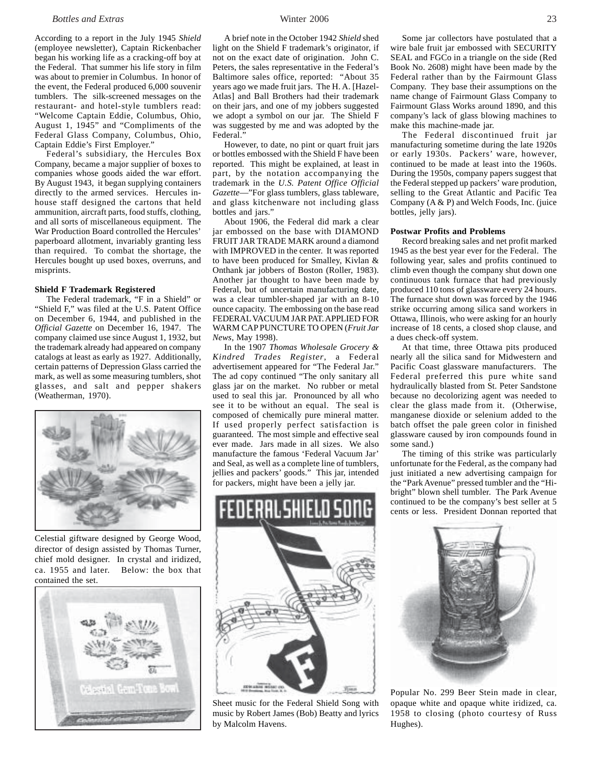### *Bottles and Extras* Winter 2006 23

According to a report in the July 1945 *Shield* (employee newsletter)*,* Captain Rickenbacher began his working life as a cracking-off boy at the Federal. That summer his life story in film was about to premier in Columbus. In honor of the event, the Federal produced 6,000 souvenir tumblers. The silk-screened messages on the restaurant- and hotel-style tumblers read: "Welcome Captain Eddie, Columbus, Ohio, August 1, 1945" and "Compliments of the Federal Glass Company, Columbus, Ohio, Captain Eddie's First Employer."

Federal's subsidiary, the Hercules Box Company, became a major supplier of boxes to companies whose goods aided the war effort. By August 1943, it began supplying containers directly to the armed services. Hercules inhouse staff designed the cartons that held ammunition, aircraft parts, food stuffs, clothing, and all sorts of miscellaneous equipment. The War Production Board controlled the Hercules' paperboard allotment, invariably granting less than required. To combat the shortage, the Hercules bought up used boxes, overruns, and misprints.

#### **Shield F Trademark Registered**

The Federal trademark, "F in a Shield" or "Shield F," was filed at the U.S. Patent Office on December 6, 1944, and published in the *Official Gazette* on December 16, 1947. The company claimed use since August 1, 1932, but the trademark already had appeared on company catalogs at least as early as 1927. Additionally, certain patterns of Depression Glass carried the mark, as well as some measuring tumblers, shot glasses, and salt and pepper shakers (Weatherman, 1970).



Celestial giftware designed by George Wood, director of design assisted by Thomas Turner, chief mold designer. In crystal and iridized, ca. 1955 and later.Below: the box that contained the set.



A brief note in the October 1942 *Shield* shed light on the Shield F trademark's originator, if not on the exact date of origination. John C. Peters, the sales representative in the Federal's Baltimore sales office, reported: "About 35 years ago we made fruit jars. The H. A. [Hazel-Atlas] and Ball Brothers had their trademark on their jars, and one of my jobbers suggested we adopt a symbol on our jar. The Shield F was suggested by me and was adopted by the Federal."

However, to date, no pint or quart fruit jars or bottles embossed with the Shield F have been reported. This might be explained, at least in part, by the notation accompanying the trademark in the *U.S. Patent Office Official Gazette*—"For glass tumblers, glass tableware, and glass kitchenware not including glass bottles and jars."

About 1906, the Federal did mark a clear jar embossed on the base with DIAMOND FRUIT JAR TRADE MARK around a diamond with IMPROVED in the center. It was reported to have been produced for Smalley, Kivlan & Onthank jar jobbers of Boston (Roller, 1983). Another jar thought to have been made by Federal, but of uncertain manufacturing date, was a clear tumbler-shaped jar with an 8-10 ounce capacity. The embossing on the base read FEDERAL VACUUM JAR PAT. APPLIED FOR WARM CAP PUNCTURE TO OPEN (*Fruit Jar News*, May 1998).

In the 1907 *Thomas Wholesale Grocery & Kindred Trades Register*, a Federal advertisement appeared for "The Federal Jar." The ad copy continued "The only sanitary all glass jar on the market. No rubber or metal used to seal this jar. Pronounced by all who see it to be without an equal. The seal is composed of chemically pure mineral matter. If used properly perfect satisfaction is guaranteed. The most simple and effective seal ever made. Jars made in all sizes. We also manufacture the famous 'Federal Vacuum Jar' and Seal, as well as a complete line of tumblers, jellies and packers' goods." This jar, intended for packers, might have been a jelly jar.



Sheet music for the Federal Shield Song with music by Robert James (Bob) Beatty and lyrics by Malcolm Havens.

Some jar collectors have postulated that a wire bale fruit jar embossed with SECURITY SEAL and FGCo in a triangle on the side (Red Book No. 2608) might have been made by the Federal rather than by the Fairmount Glass Company. They base their assumptions on the name change of Fairmount Glass Company to Fairmount Glass Works around 1890, and this company's lack of glass blowing machines to make this machine-made jar.

The Federal discontinued fruit jar manufacturing sometime during the late 1920s or early 1930s. Packers' ware, however, continued to be made at least into the 1960s. During the 1950s, company papers suggest that the Federal stepped up packers' ware prodution, selling to the Great Atlantic and Pacific Tea Company (A & P) and Welch Foods, Inc. (juice bottles, jelly jars).

#### **Postwar Profits and Problems**

Record breaking sales and net profit marked 1945 as the best year ever for the Federal. The following year, sales and profits continued to climb even though the company shut down one continuous tank furnace that had previously produced 110 tons of glassware every 24 hours. The furnace shut down was forced by the 1946 strike occurring among silica sand workers in Ottawa, Illinois, who were asking for an hourly increase of 18 cents, a closed shop clause, and a dues check-off system.

At that time, three Ottawa pits produced nearly all the silica sand for Midwestern and Pacific Coast glassware manufacturers. The Federal preferred this pure white sand hydraulically blasted from St. Peter Sandstone because no decolorizing agent was needed to clear the glass made from it. (Otherwise, manganese dioxide or selenium added to the batch offset the pale green color in finished glassware caused by iron compounds found in some sand.)

The timing of this strike was particularly unfortunate for the Federal, as the company had just initiated a new advertising campaign for the "Park Avenue" pressed tumbler and the "Hibright" blown shell tumbler. The Park Avenue continued to be the company's best seller at 5 cents or less. President Donnan reported that



Popular No. 299 Beer Stein made in clear, opaque white and opaque white iridized, ca. 1958 to closing (photo courtesy of Russ Hughes).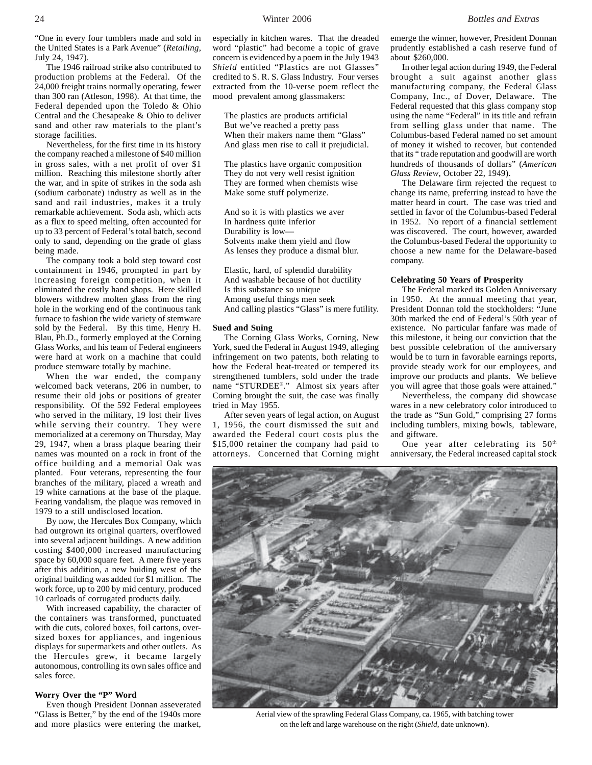The 1946 railroad strike also contributed to production problems at the Federal. Of the 24,000 freight trains normally operating, fewer than 300 ran (Atleson, 1998). At that time, the Federal depended upon the Toledo & Ohio Central and the Chesapeake & Ohio to deliver sand and other raw materials to the plant's storage facilities.

Nevertheless, for the first time in its history the company reached a milestone of \$40 million in gross sales, with a net profit of over \$1 million. Reaching this milestone shortly after the war, and in spite of strikes in the soda ash (sodium carbonate) industry as well as in the sand and rail industries, makes it a truly remarkable achievement. Soda ash, which acts as a flux to speed melting, often accounted for up to 33 percent of Federal's total batch, second only to sand, depending on the grade of glass being made.

The company took a bold step toward cost containment in 1946, prompted in part by increasing foreign competition, when it eliminated the costly hand shops. Here skilled blowers withdrew molten glass from the ring hole in the working end of the continuous tank furnace to fashion the wide variety of stemware sold by the Federal. By this time, Henry H. Blau, Ph.D., formerly employed at the Corning Glass Works, and his team of Federal engineers were hard at work on a machine that could produce stemware totally by machine.

When the war ended, the company welcomed back veterans, 206 in number, to resume their old jobs or positions of greater responsibility. Of the 592 Federal employees who served in the military, 19 lost their lives while serving their country. They were memorialized at a ceremony on Thursday, May 29, 1947, when a brass plaque bearing their names was mounted on a rock in front of the office building and a memorial Oak was planted. Four veterans, representing the four branches of the military, placed a wreath and 19 white carnations at the base of the plaque. Fearing vandalism, the plaque was removed in 1979 to a still undisclosed location.

By now, the Hercules Box Company, which had outgrown its original quarters, overflowed into several adjacent buildings. A new addition costing \$400,000 increased manufacturing space by 60,000 square feet. A mere five years after this addition, a new buiding west of the original building was added for \$1 million. The work force, up to 200 by mid century, produced 10 carloads of corrugated products daily.

With increased capability, the character of the containers was transformed, punctuated with die cuts, colored boxes, foil cartons, oversized boxes for appliances, and ingenious displays for supermarkets and other outlets. As the Hercules grew, it became largely autonomous, controlling its own sales office and sales force.

#### **Worry Over the "P" Word**

Even though President Donnan asseverated "Glass is Better," by the end of the 1940s more and more plastics were entering the market, especially in kitchen wares. That the dreaded word "plastic" had become a topic of grave concern is evidenced by a poem in the July 1943 *Shield* entitled "Plastics are not Glasses" credited to S. R. S. Glass Industry. Four verses extracted from the 10-verse poem reflect the mood prevalent among glassmakers:

The plastics are products artificial But we've reached a pretty pass When their makers name them "Glass" And glass men rise to call it prejudicial.

The plastics have organic composition They do not very well resist ignition They are formed when chemists wise Make some stuff polymerize.

And so it is with plastics we aver In hardness quite inferior Durability is low— Solvents make them yield and flow As lenses they produce a dismal blur.

Elastic, hard, of splendid durability And washable because of hot ductility Is this substance so unique Among useful things men seek And calling plastics "Glass" is mere futility.

#### **Sued and Suing**

The Corning Glass Works, Corning, New York, sued the Federal in August 1949, alleging infringement on two patents, both relating to how the Federal heat-treated or tempered its strengthened tumblers, sold under the trade name "STURDEE®." Almost six years after Corning brought the suit, the case was finally tried in May 1955.

After seven years of legal action, on August 1, 1956, the court dismissed the suit and awarded the Federal court costs plus the \$15,000 retainer the company had paid to attorneys. Concerned that Corning might emerge the winner, however, President Donnan prudently established a cash reserve fund of about \$260,000.

In other legal action during 1949, the Federal brought a suit against another glass manufacturing company, the Federal Glass Company, Inc., of Dover, Delaware. The Federal requested that this glass company stop using the name "Federal" in its title and refrain from selling glass under that name. The Columbus-based Federal named no set amount of money it wished to recover, but contended that its " trade reputation and goodwill are worth hundreds of thousands of dollars" (*American Glass Review*, October 22, 1949).

The Delaware firm rejected the request to change its name, preferring instead to have the matter heard in court. The case was tried and settled in favor of the Columbus-based Federal in 1952. No report of a financial settlement was discovered. The court, however, awarded the Columbus-based Federal the opportunity to choose a new name for the Delaware-based company.

#### **Celebrating 50 Years of Prosperity**

The Federal marked its Golden Anniversary in 1950. At the annual meeting that year, President Donnan told the stockholders: "June 30th marked the end of Federal's 50th year of existence. No particular fanfare was made of this milestone, it being our conviction that the best possible celebration of the anniversary would be to turn in favorable earnings reports, provide steady work for our employees, and improve our products and plants. We believe you will agree that those goals were attained."

Nevertheless, the company did showcase wares in a new celebratory color introduced to the trade as "Sun Gold," comprising 27 forms including tumblers, mixing bowls, tableware, and giftware.

One year after celebrating its  $50<sup>th</sup>$ anniversary, the Federal increased capital stock

Aerial view of the sprawling Federal Glass Company, ca. 1965, with batching tower on the left and large warehouse on the right (*Shield*, date unknown).

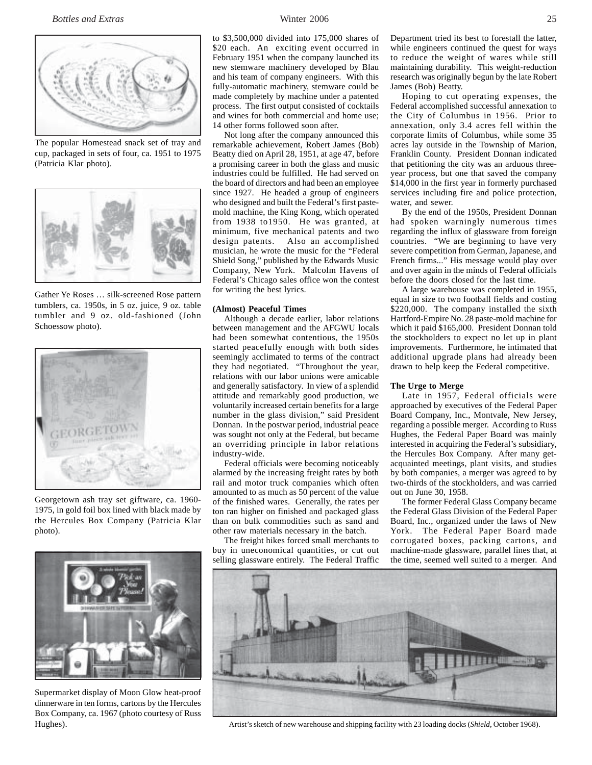

The popular Homestead snack set of tray and cup, packaged in sets of four, ca. 1951 to 1975 (Patricia Klar photo).



Gather Ye Roses … silk-screened Rose pattern tumblers, ca. 1950s, in 5 oz. juice, 9 oz. table tumbler and 9 oz. old-fashioned (John Schoessow photo).



Georgetown ash tray set giftware, ca. 1960- 1975, in gold foil box lined with black made by the Hercules Box Company (Patricia Klar photo).



Supermarket display of Moon Glow heat-proof dinnerware in ten forms, cartons by the Hercules Box Company, ca. 1967 (photo courtesy of Russ

to \$3,500,000 divided into 175,000 shares of \$20 each. An exciting event occurred in February 1951 when the company launched its new stemware machinery developed by Blau and his team of company engineers. With this fully-automatic machinery, stemware could be made completely by machine under a patented process. The first output consisted of cocktails and wines for both commercial and home use; 14 other forms followed soon after.

Not long after the company announced this remarkable achievement, Robert James (Bob) Beatty died on April 28, 1951, at age 47, before a promising career in both the glass and music industries could be fulfilled. He had served on the board of directors and had been an employee since 1927. He headed a group of engineers who designed and built the Federal's first pastemold machine, the King Kong, which operated from 1938 to1950. He was granted, at minimum, five mechanical patents and two design patents. Also an accomplished musician, he wrote the music for the "Federal Shield Song," published by the Edwards Music Company, New York. Malcolm Havens of Federal's Chicago sales office won the contest for writing the best lyrics.

#### **(Almost) Peaceful Times**

Although a decade earlier, labor relations between management and the AFGWU locals had been somewhat contentious, the 1950s started peacefully enough with both sides seemingly acclimated to terms of the contract they had negotiated. "Throughout the year, relations with our labor unions were amicable and generally satisfactory. In view of a splendid attitude and remarkably good production, we voluntarily increased certain benefits for a large number in the glass division," said President Donnan. In the postwar period, industrial peace was sought not only at the Federal, but became an overriding principle in labor relations industry-wide.

Federal officials were becoming noticeably alarmed by the increasing freight rates by both rail and motor truck companies which often amounted to as much as 50 percent of the value of the finished wares. Generally, the rates per ton ran higher on finished and packaged glass than on bulk commodities such as sand and other raw materials necessary in the batch.

The freight hikes forced small merchants to buy in uneconomical quantities, or cut out selling glassware entirely. The Federal Traffic

Department tried its best to forestall the latter, while engineers continued the quest for ways to reduce the weight of wares while still maintaining durability. This weight-reduction research was originally begun by the late Robert James (Bob) Beatty.

Hoping to cut operating expenses, the Federal accomplished successful annexation to the City of Columbus in 1956. Prior to annexation, only 3.4 acres fell within the corporate limits of Columbus, while some 35 acres lay outside in the Township of Marion, Franklin County. President Donnan indicated that petitioning the city was an arduous threeyear process, but one that saved the company \$14,000 in the first year in formerly purchased services including fire and police protection, water, and sewer.

By the end of the 1950s, President Donnan had spoken warningly numerous times regarding the influx of glassware from foreign countries. "We are beginning to have very severe competition from German, Japanese, and French firms..." His message would play over and over again in the minds of Federal officials before the doors closed for the last time.

A large warehouse was completed in 1955, equal in size to two football fields and costing \$220,000. The company installed the sixth Hartford-Empire No. 28 paste-mold machine for which it paid \$165,000. President Donnan told the stockholders to expect no let up in plant improvements. Furthermore, he intimated that additional upgrade plans had already been drawn to help keep the Federal competitive.

#### **The Urge to Merge**

Late in 1957, Federal officials were approached by executives of the Federal Paper Board Company, Inc., Montvale, New Jersey, regarding a possible merger. According to Russ Hughes, the Federal Paper Board was mainly interested in acquiring the Federal's subsidiary, the Hercules Box Company. After many getacquainted meetings, plant visits, and studies by both companies, a merger was agreed to by two-thirds of the stockholders, and was carried out on June 30, 1958.

The former Federal Glass Company became the Federal Glass Division of the Federal Paper Board, Inc., organized under the laws of New York. The Federal Paper Board made corrugated boxes, packing cartons, and machine-made glassware, parallel lines that, at the time, seemed well suited to a merger. And



Hughes). Artist's sketch of new warehouse and shipping facility with 23 loading docks (*Shield*, October 1968).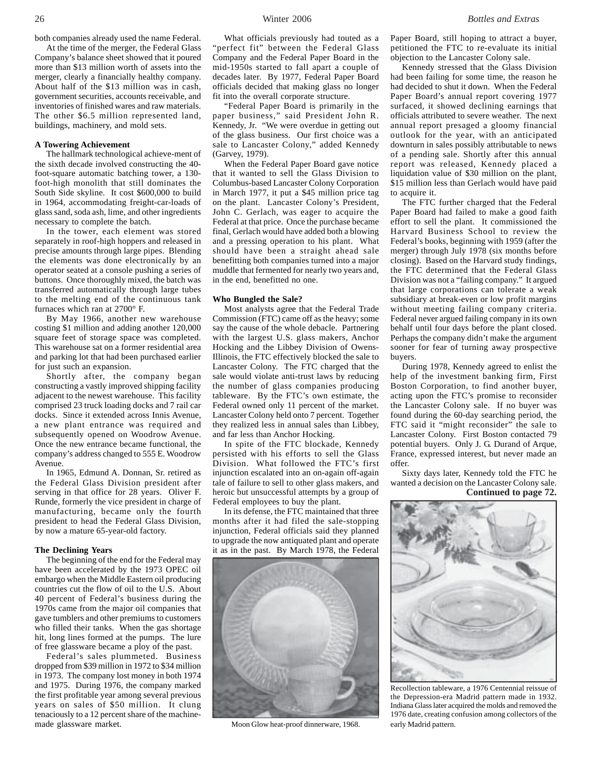both companies already used the name Federal.

At the time of the merger, the Federal Glass Company's balance sheet showed that it poured more than \$13 million worth of assets into the merger, clearly a financially healthy company. About half of the \$13 million was in cash, government securities, accounts receivable, and inventories of finished wares and raw materials. The other \$6.5 million represented land, buildings, machinery, and mold sets.

#### **A Towering Achievement**

The hallmark technological achieve-ment of the sixth decade involved constructing the 40 foot-square automatic batching tower, a 130 foot-high monolith that still dominates the South Side skyline. It cost \$600,000 to build in 1964, accommodating freight-car-loads of glass sand, soda ash, lime, and other ingredients necessary to complete the batch.

In the tower, each element was stored separately in roof-high hoppers and released in precise amounts through large pipes. Blending the elements was done electronically by an operator seated at a console pushing a series of buttons. Once thoroughly mixed, the batch was transferred automatically through large tubes to the melting end of the continuous tank furnaces which ran at 2700° F.

By May 1966, another new warehouse costing \$1 million and adding another 120,000 square feet of storage space was completed. This warehouse sat on a former residential area and parking lot that had been purchased earlier for just such an expansion.

Shortly after, the company began constructing a vastly improved shipping facility adjacent to the newest warehouse. This facility comprised 23 truck loading docks and 7 rail car docks. Since it extended across Innis Avenue, a new plant entrance was required and subsequently opened on Woodrow Avenue. Once the new entrance became functional, the company's address changed to 555 E. Woodrow Avenue.

In 1965, Edmund A. Donnan, Sr. retired as the Federal Glass Division president after serving in that office for 28 years. Oliver F. Runde, formerly the vice president in charge of manufacturing, became only the fourth president to head the Federal Glass Division, by now a mature 65-year-old factory.

#### **The Declining Years**

The beginning of the end for the Federal may have been accelerated by the 1973 OPEC oil embargo when the Middle Eastern oil producing countries cut the flow of oil to the U.S. About 40 percent of Federal's business during the 1970s came from the major oil companies that gave tumblers and other premiums to customers who filled their tanks. When the gas shortage hit, long lines formed at the pumps. The lure of free glassware became a ploy of the past.

Federal's sales plummeted. Business dropped from \$39 million in 1972 to \$34 million in 1973. The company lost money in both 1974 and 1975. During 1976, the company marked the first profitable year among several previous years on sales of \$50 million. It clung tenaciously to a 12 percent share of the machinemade glassware market.

What officials previously had touted as a "perfect fit" between the Federal Glass Company and the Federal Paper Board in the mid-1950s started to fall apart a couple of decades later. By 1977, Federal Paper Board officials decided that making glass no longer fit into the overall corporate structure.

"Federal Paper Board is primarily in the paper business," said President John R. Kennedy, Jr. "We were overdue in getting out of the glass business. Our first choice was a sale to Lancaster Colony," added Kennedy (Garvey, 1979).

When the Federal Paper Board gave notice that it wanted to sell the Glass Division to Columbus-based Lancaster Colony Corporation in March 1977, it put a \$45 million price tag on the plant. Lancaster Colony's President, John C. Gerlach, was eager to acquire the Federal at that price. Once the purchase became final, Gerlach would have added both a blowing and a pressing operation to his plant. What should have been a straight ahead sale benefitting both companies turned into a major muddle that fermented for nearly two years and, in the end, benefitted no one.

#### **Who Bungled the Sale?**

Most analysts agree that the Federal Trade Commission (FTC) came off as the heavy; some say the cause of the whole debacle. Partnering with the largest U.S. glass makers, Anchor Hocking and the Libbey Division of Owens-Illinois, the FTC effectively blocked the sale to Lancaster Colony. The FTC charged that the sale would violate anti-trust laws by reducing the number of glass companies producing tableware. By the FTC's own estimate, the Federal owned only 11 percent of the market. Lancaster Colony held onto 7 percent. Together they realized less in annual sales than Libbey, and far less than Anchor Hocking.

In spite of the FTC blockade, Kennedy persisted with his efforts to sell the Glass Division. What followed the FTC's first injunction escalated into an on-again off-again tale of failure to sell to other glass makers, and heroic but unsuccessful attempts by a group of Federal employees to buy the plant.

In its defense, the FTC maintained that three months after it had filed the sale-stopping injunction, Federal officials said they planned to upgrade the now antiquated plant and operate it as in the past. By March 1978, the Federal



Moon Glow heat-proof dinnerware, 1968.

Paper Board, still hoping to attract a buyer, petitioned the FTC to re-evaluate its initial objection to the Lancaster Colony sale.

Kennedy stressed that the Glass Division had been failing for some time, the reason he had decided to shut it down. When the Federal Paper Board's annual report covering 1977 surfaced, it showed declining earnings that officials attributed to severe weather. The next annual report presaged a gloomy financial outlook for the year, with an anticipated downturn in sales possibly attributable to news of a pending sale. Shortly after this annual report was released, Kennedy placed a liquidation value of \$30 million on the plant, \$15 million less than Gerlach would have paid to acquire it.

The FTC further charged that the Federal Paper Board had failed to make a good faith effort to sell the plant. It commissioned the Harvard Business School to review the Federal's books, beginning with 1959 (after the merger) through July 1978 (six months before closing). Based on the Harvard study findings, the FTC determined that the Federal Glass Division was not a "failing company." It argued that large corporations can tolerate a weak subsidiary at break-even or low profit margins without meeting failing company criteria. Federal never argued failing company in its own behalf until four days before the plant closed. Perhaps the company didn't make the argument sooner for fear of turning away prospective buyers.

During 1978, Kennedy agreed to enlist the help of the investment banking firm, First Boston Corporation, to find another buyer, acting upon the FTC's promise to reconsider the Lancaster Colony sale. If no buyer was found during the 60-day searching period, the FTC said it "might reconsider" the sale to Lancaster Colony. First Boston contacted 79 potential buyers. Only J. G. Durand of Arque, France, expressed interest, but never made an offer.

Sixty days later, Kennedy told the FTC he wanted a decision on the Lancaster Colony sale.





Recollection tableware, a 1976 Centennial reissue of the Depression-era Madrid pattern made in 1932. Indiana Glass later acquired the molds and removed the 1976 date, creating confusion among collectors of the early Madrid pattern.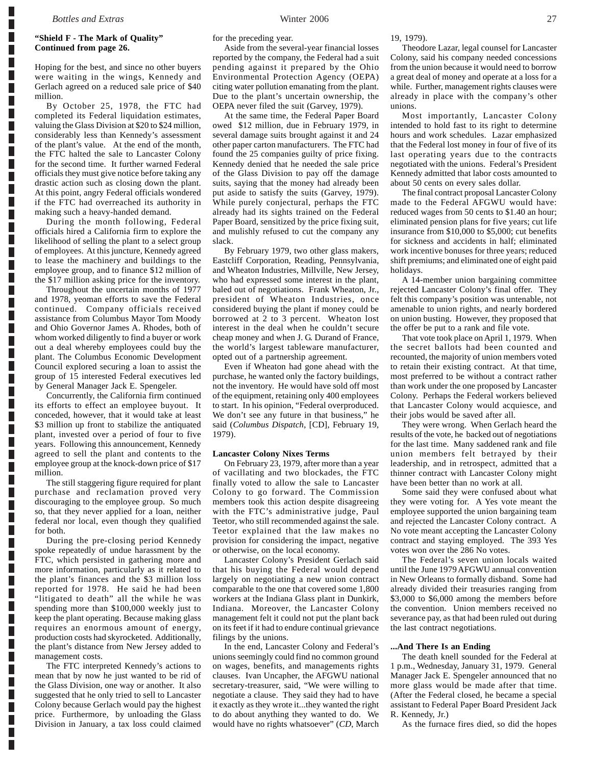Г Г Г Г Г

Г L

Г

Г

Г

Г

Г

П

L

Г

Г Г

L Г

Г

Г

П

Г

Г

Г Г L

### **"Shield F - The Mark of Quality" Continued from page 26.**

Hoping for the best, and since no other buyers were waiting in the wings, Kennedy and Gerlach agreed on a reduced sale price of \$40 million.

By October 25, 1978, the FTC had completed its Federal liquidation estimates, valuing the Glass Division at \$20 to \$24 million, considerably less than Kennedy's assessment of the plant's value. At the end of the month, the FTC halted the sale to Lancaster Colony for the second time. It further warned Federal officials they must give notice before taking any drastic action such as closing down the plant. At this point, angry Federal officials wondered if the FTC had overreached its authority in making such a heavy-handed demand.

During the month following, Federal officials hired a California firm to explore the likelihood of selling the plant to a select group of employees. At this juncture, Kennedy agreed to lease the machinery and buildings to the employee group, and to finance \$12 million of the \$17 million asking price for the inventory.

Throughout the uncertain months of 1977 and 1978, yeoman efforts to save the Federal continued. Company officials received assistance from Columbus Mayor Tom Moody and Ohio Governor James A. Rhodes, both of whom worked diligently to find a buyer or work out a deal whereby employees could buy the plant. The Columbus Economic Development Council explored securing a loan to assist the group of 15 interested Federal executives led by General Manager Jack E. Spengeler.

Concurrently, the California firm continued its efforts to effect an employee buyout. It conceded, however, that it would take at least \$3 million up front to stabilize the antiquated plant, invested over a period of four to five years. Following this announcement, Kennedy agreed to sell the plant and contents to the employee group at the knock-down price of \$17 million.

The still staggering figure required for plant purchase and reclamation proved very discouraging to the employee group. So much so, that they never applied for a loan, neither federal nor local, even though they qualified for both.

During the pre-closing period Kennedy spoke repeatedly of undue harassment by the FTC, which persisted in gathering more and more information, particularly as it related to the plant's finances and the \$3 million loss reported for 1978. He said he had been "litigated to death" all the while he was spending more than \$100,000 weekly just to keep the plant operating. Because making glass requires an enormous amount of energy, production costs had skyrocketed. Additionally, the plant's distance from New Jersey added to management costs.

The FTC interpreted Kennedy's actions to mean that by now he just wanted to be rid of the Glass Division, one way or another. It also suggested that he only tried to sell to Lancaster Colony because Gerlach would pay the highest price. Furthermore, by unloading the Glass Division in January, a tax loss could claimed

for the preceding year.

Aside from the several-year financial losses reported by the company, the Federal had a suit pending against it prepared by the Ohio Environmental Protection Agency (OEPA) citing water pollution emanating from the plant. Due to the plant's uncertain ownership, the OEPA never filed the suit (Garvey, 1979).

At the same time, the Federal Paper Board owed \$12 million, due in February 1979, in several damage suits brought against it and 24 other paper carton manufacturers. The FTC had found the 25 companies guilty of price fixing. Kennedy denied that he needed the sale price of the Glass Division to pay off the damage suits, saying that the money had already been put aside to satisfy the suits (Garvey, 1979). While purely conjectural, perhaps the FTC already had its sights trained on the Federal Paper Board, sensitized by the price fixing suit, and mulishly refused to cut the company any slack.

By February 1979, two other glass makers, Eastcliff Corporation, Reading, Pennsylvania, and Wheaton Industries, Millville, New Jersey, who had expressed some interest in the plant, baled out of negotiations. Frank Wheaton, Jr., president of Wheaton Industries, once considered buying the plant if money could be borrowed at 2 to 3 percent. Wheaton lost interest in the deal when he couldn't secure cheap money and when J. G. Durand of France, the world's largest tableware manufacturer, opted out of a partnership agreement.

Even if Wheaton had gone ahead with the purchase, he wanted only the factory buildings, not the inventory. He would have sold off most of the equipment, retaining only 400 employees to start. In his opinion, "Federal overproduced. We don't see any future in that business," he said (*Columbus Dispatch*, [CD], February 19, 1979).

#### **Lancaster Colony Nixes Terms**

On February 23, 1979, after more than a year of vacillating and two blockades, the FTC finally voted to allow the sale to Lancaster Colony to go forward. The Commission members took this action despite disagreeing with the FTC's administrative judge, Paul Teetor, who still recommended against the sale. Teetor explained that the law makes no provision for considering the impact, negative or otherwise, on the local economy.

Lancaster Colony's President Gerlach said that his buying the Federal would depend largely on negotiating a new union contract comparable to the one that covered some 1,800 workers at the Indiana Glass plant in Dunkirk, Indiana. Moreover, the Lancaster Colony management felt it could not put the plant back on its feet if it had to endure continual grievance filings by the unions.

In the end, Lancaster Colony and Federal's unions seemingly could find no common ground on wages, benefits, and managements rights clauses. Ivan Uncapher, the AFGWU national secretary-treasurer, said, "We were willing to negotiate a clause. They said they had to have it exactly as they wrote it...they wanted the right to do about anything they wanted to do. We would have no rights whatsoever" (*CD*, March 19, 1979).

Theodore Lazar, legal counsel for Lancaster Colony, said his company needed concessions from the union because it would need to borrow a great deal of money and operate at a loss for a while. Further, management rights clauses were already in place with the company's other unions.

Most importantly, Lancaster Colony intended to hold fast to its right to determine hours and work schedules. Lazar emphasized that the Federal lost money in four of five of its last operating years due to the contracts negotiated with the unions. Federal's President Kennedy admitted that labor costs amounted to about 50 cents on every sales dollar.

The final contract proposal Lancaster Colony made to the Federal AFGWU would have: reduced wages from 50 cents to \$1.40 an hour; eliminated pension plans for five years; cut life insurance from \$10,000 to \$5,000; cut benefits for sickness and accidents in half; eliminated work incentive bonuses for three years; reduced shift premiums; and eliminated one of eight paid holidays.

A 14-member union bargaining committee rejected Lancaster Colony's final offer. They felt this company's position was untenable, not amenable to union rights, and nearly bordered on union busting. However, they proposed that the offer be put to a rank and file vote.

That vote took place on April 1, 1979. When the secret ballots had been counted and recounted, the majority of union members voted to retain their existing contract. At that time, most preferred to be without a contract rather than work under the one proposed by Lancaster Colony. Perhaps the Federal workers believed that Lancaster Colony would acquiesce, and their jobs would be saved after all.

They were wrong. When Gerlach heard the results of the vote, he backed out of negotiations for the last time. Many saddened rank and file union members felt betrayed by their leadership, and in retrospect, admitted that a thinner contract with Lancaster Colony might have been better than no work at all.

Some said they were confused about what they were voting for. A Yes vote meant the employee supported the union bargaining team and rejected the Lancaster Colony contract. A No vote meant accepting the Lancaster Colony contract and staying employed. The 393 Yes votes won over the 286 No votes.

The Federal's seven union locals waited until the June 1979 AFGWU annual convention in New Orleans to formally disband. Some had already divided their treasuries ranging from \$3,000 to \$6,000 among the members before the convention. Union members received no severance pay, as that had been ruled out during the last contract negotiations.

#### **...And There Is an Ending**

The death knell sounded for the Federal at 1 p.m., Wednesday, January 31, 1979. General Manager Jack E. Spengeler announced that no more glass would be made after that time. (After the Federal closed, he became a special assistant to Federal Paper Board President Jack R. Kennedy, Jr.)

As the furnace fires died, so did the hopes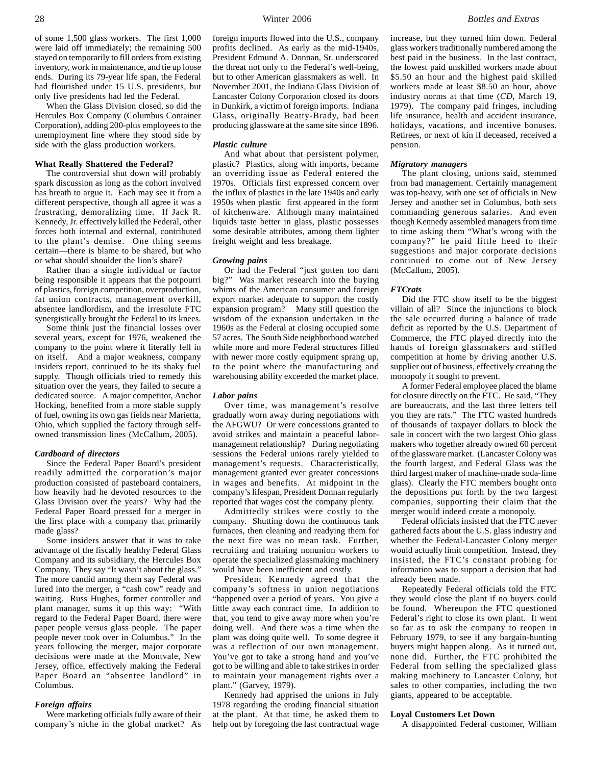When the Glass Division closed, so did the Hercules Box Company (Columbus Container Corporation), adding 200-plus employees to the unemployment line where they stood side by side with the glass production workers.

#### **What Really Shattered the Federal?**

The controversial shut down will probably spark discussion as long as the cohort involved has breath to argue it. Each may see it from a different perspective, though all agree it was a frustrating, demoralizing time. If Jack R. Kennedy, Jr. effectively killed the Federal, other forces both internal and external, contributed to the plant's demise. One thing seems certain—there is blame to be shared, but who or what should shoulder the lion's share?

Rather than a single individual or factor being responsible it appears that the potpourri of plastics, foreign competition, overproduction, fat union contracts, management overkill, absentee landlordism, and the irresolute FTC synergistically brought the Federal to its knees.

Some think just the financial losses over several years, except for 1976, weakened the company to the point where it literally fell in on itself. And a major weakness, company insiders report, continued to be its shaky fuel supply. Though officials tried to remedy this situation over the years, they failed to secure a dedicated source. A major competitor, Anchor Hocking, benefited from a more stable supply of fuel, owning its own gas fields near Marietta, Ohio, which supplied the factory through selfowned transmission lines (McCallum, 2005).

#### *Cardboard of directors*

Since the Federal Paper Board's president readily admitted the corporation's major production consisted of pasteboard containers, how heavily had he devoted resources to the Glass Division over the years? Why had the Federal Paper Board pressed for a merger in the first place with a company that primarily made glass?

Some insiders answer that it was to take advantage of the fiscally healthy Federal Glass Company and its subsidiary, the Hercules Box Company. They say "It wasn't about the glass." The more candid among them say Federal was lured into the merger, a "cash cow" ready and waiting. Russ Hughes, former controller and plant manager, sums it up this way: "With regard to the Federal Paper Board, there were paper people versus glass people. The paper people never took over in Columbus." In the years following the merger, major corporate decisions were made at the Montvale, New Jersey, office, effectively making the Federal Paper Board an "absentee landlord" in Columbus.

#### *Foreign affairs*

Were marketing officials fully aware of their company's niche in the global market? As

foreign imports flowed into the U.S., company profits declined. As early as the mid-1940s, President Edmund A. Donnan, Sr. underscored the threat not only to the Federal's well-being, but to other American glassmakers as well. In November 2001, the Indiana Glass Division of Lancaster Colony Corporation closed its doors in Dunkirk, a victim of foreign imports. Indiana Glass, originally Beatty-Brady, had been producing glassware at the same site since 1896.

#### *Plastic culture*

And what about that persistent polymer, plastic? Plastics, along with imports, became an overriding issue as Federal entered the 1970s. Officials first expressed concern over the influx of plastics in the late 1940s and early 1950s when plastic first appeared in the form of kitchenware. Although many maintained liquids taste better in glass, plastic possesses some desirable attributes, among them lighter freight weight and less breakage.

#### *Growing pains*

Or had the Federal "just gotten too darn big?" Was market research into the buying whims of the American consumer and foreign export market adequate to support the costly expansion program? Many still question the wisdom of the expansion undertaken in the 1960s as the Federal at closing occupied some 57 acres. The South Side neighborhood watched while more and more Federal structures filled with newer more costly equipment sprang up, to the point where the manufacturing and warehousing ability exceeded the market place.

#### *Labor pains*

Over time, was management's resolve gradually worn away during negotiations with the AFGWU? Or were concessions granted to avoid strikes and maintain a peaceful labormanagement relationship? During negotiating sessions the Federal unions rarely yielded to management's requests. Characteristically, management granted ever greater concessions in wages and benefits. At midpoint in the company's lifespan, President Donnan regularly reported that wages cost the company plenty.

Admittedly strikes were costly to the company. Shutting down the continuous tank furnaces, then cleaning and readying them for the next fire was no mean task. Further, recruiting and training nonunion workers to operate the specialized glassmaking machinery would have been inefficient and costly.

President Kennedy agreed that the company's softness in union negotiations "happened over a period of years. You give a little away each contract time. In addition to that, you tend to give away more when you're doing well. And there was a time when the plant was doing quite well. To some degree it was a reflection of our own management. You've got to take a strong hand and you've got to be willing and able to take strikes in order to maintain your management rights over a plant." (Garvey, 1979).

Kennedy had apprised the unions in July 1978 regarding the eroding financial situation at the plant. At that time, he asked them to help out by foregoing the last contractual wage

28 Winter 2006 *Bottles and Extras*

increase, but they turned him down. Federal glass workers traditionally numbered among the best paid in the business. In the last contract, the lowest paid unskilled workers made about \$5.50 an hour and the highest paid skilled workers made at least \$8.50 an hour, above industry norms at that time (*CD*, March 19, 1979). The company paid fringes, including life insurance, health and accident insurance, holidays, vacations, and incentive bonuses. Retirees, or next of kin if deceased, received a pension.

#### *Migratory managers*

The plant closing, unions said, stemmed from bad management. Certainly management was top-heavy, with one set of officials in New Jersey and another set in Columbus, both sets commanding generous salaries. And even though Kennedy assembled managers from time to time asking them "What's wrong with the company?" he paid little heed to their suggestions and major corporate decisions continued to come out of New Jersey (McCallum, 2005).

#### *FTCrats*

Did the FTC show itself to be the biggest villain of all? Since the injunctions to block the sale occurred during a balance of trade deficit as reported by the U.S. Department of Commerce, the FTC played directly into the hands of foreign glassmakers and stifled competition at home by driving another U.S. supplier out of business, effectively creating the monopoly it sought to prevent.

A former Federal employee placed the blame for closure directly on the FTC. He said, "They are bureaucrats, and the last three letters tell you they are rats." The FTC wasted hundreds of thousands of taxpayer dollars to block the sale in concert with the two largest Ohio glass makers who together already owned 60 percent of the glassware market. (Lancaster Colony was the fourth largest, and Federal Glass was the third largest maker of machine-made soda-lime glass). Clearly the FTC members bought onto the depositions put forth by the two largest companies, supporting their claim that the merger would indeed create a monopoly.

Federal officials insisted that the FTC never gathered facts about the U.S. glass industry and whether the Federal-Lancaster Colony merger would actually limit competition. Instead, they insisted, the FTC's constant probing for information was to support a decision that had already been made.

Repeatedly Federal officials told the FTC they would close the plant if no buyers could be found. Whereupon the FTC questioned Federal's right to close its own plant. It went so far as to ask the company to reopen in February 1979, to see if any bargain-hunting buyers might happen along. As it turned out, none did. Further, the FTC prohibited the Federal from selling the specialized glass making machinery to Lancaster Colony, but sales to other companies, including the two giants, appeared to be acceptable.

#### **Loyal Customers Let Down**

A disappointed Federal customer, William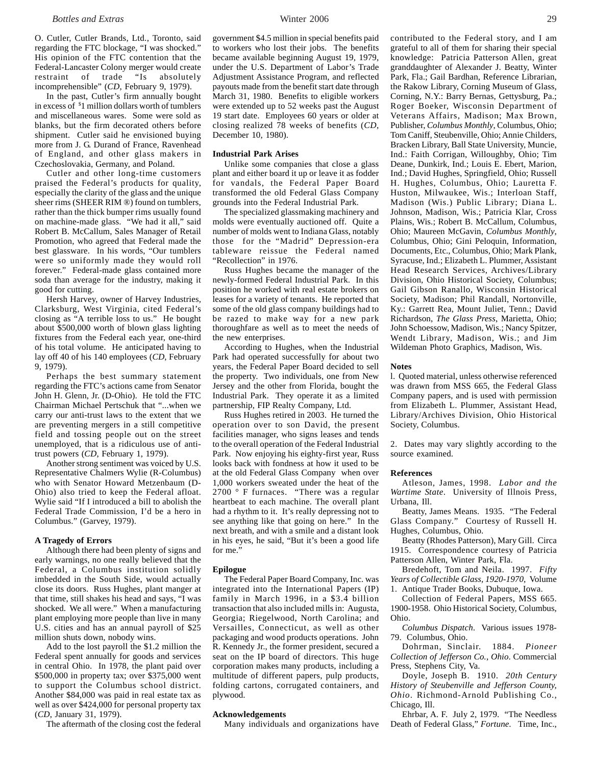O. Cutler, Cutler Brands, Ltd., Toronto, said regarding the FTC blockage, "I was shocked." His opinion of the FTC contention that the Federal-Lancaster Colony merger would create restraint of trade "Is absolutely incomprehensible" (*CD*, February 9, 1979).

In the past, Cutler's firm annually bought in excess of \$ 1 million dollars worth of tumblers and miscellaneous wares. Some were sold as blanks, but the firm decorated others before shipment. Cutler said he envisioned buying more from J. G. Durand of France, Ravenhead of England, and other glass makers in Czechoslovakia, Germany, and Poland.

Cutler and other long-time customers praised the Federal's products for quality, especially the clarity of the glass and the unique sheer rims (SHEER RIM ®) found on tumblers, rather than the thick bumper rims usually found on machine-made glass. "We had it all," said Robert B. McCallum, Sales Manager of Retail Promotion, who agreed that Federal made the best glassware. In his words, "Our tumblers were so uniformly made they would roll forever." Federal-made glass contained more soda than average for the industry, making it good for cutting.

Hersh Harvey, owner of Harvey Industries, Clarksburg, West Virginia, cited Federal's closing as "A terrible loss to us." He bought about \$500,000 worth of blown glass lighting fixtures from the Federal each year, one-third of his total volume. He anticipated having to lay off 40 of his 140 employees (*CD*, February 9, 1979).

Perhaps the best summary statement regarding the FTC's actions came from Senator John H. Glenn, Jr. (D-Ohio). He told the FTC Chairman Michael Pertschuk that "...when we carry our anti-trust laws to the extent that we are preventing mergers in a still competitive field and tossing people out on the street unemployed, that is a ridiculous use of antitrust powers (*CD*, February 1, 1979).

Another strong sentiment was voiced by U.S. Representative Chalmers Wylie (R-Columbus) who with Senator Howard Metzenbaum (D-Ohio) also tried to keep the Federal afloat. Wylie said "If I introduced a bill to abolish the Federal Trade Commission, I'd be a hero in Columbus." (Garvey, 1979).

#### **A Tragedy of Errors**

Although there had been plenty of signs and early warnings, no one really believed that the Federal, a Columbus institution solidly imbedded in the South Side, would actually close its doors. Russ Hughes, plant manger at that time, still shakes his head and says, "I was shocked. We all were." When a manufacturing plant employing more people than live in many U.S. cities and has an annual payroll of \$25 million shuts down, nobody wins.

Add to the lost payroll the \$1.2 million the Federal spent annually for goods and services in central Ohio. In 1978, the plant paid over \$500,000 in property tax; over \$375,000 went to support the Columbus school district. Another \$84,000 was paid in real estate tax as well as over \$424,000 for personal property tax (*CD*, January 31, 1979).

The aftermath of the closing cost the federal

government \$4.5 million in special benefits paid to workers who lost their jobs. The benefits became available beginning August 19, 1979, under the U.S. Department of Labor's Trade Adjustment Assistance Program, and reflected payouts made from the benefit start date through March 31, 1980. Benefits to eligible workers were extended up to 52 weeks past the August 19 start date. Employees 60 years or older at closing realized 78 weeks of benefits (*CD*, December 10, 1980).

### **Industrial Park Arises**

Unlike some companies that close a glass plant and either board it up or leave it as fodder for vandals, the Federal Paper Board transformed the old Federal Glass Company grounds into the Federal Industrial Park.

The specialized glassmaking machinery and molds were eventually auctioned off. Quite a number of molds went to Indiana Glass, notably those for the "Madrid" Depression-era tableware reissue the Federal named "Recollection" in 1976.

Russ Hughes became the manager of the newly-formed Federal Industrial Park. In this position he worked with real estate brokers on leases for a variety of tenants. He reported that some of the old glass company buildings had to be razed to make way for a new park thoroughfare as well as to meet the needs of the new enterprises.

According to Hughes, when the Industrial Park had operated successfully for about two years, the Federal Paper Board decided to sell the property. Two individuals, one from New Jersey and the other from Florida, bought the Industrial Park. They operate it as a limited partnership, FIP Realty Company, Ltd.

Russ Hughes retired in 2003. He turned the operation over to son David, the present facilities manager, who signs leases and tends to the overall operation of the Federal Industrial Park. Now enjoying his eighty-first year, Russ looks back with fondness at how it used to be at the old Federal Glass Company when over 1,000 workers sweated under the heat of the 2700 ° F furnaces. "There was a regular heartbeat to each machine. The overall plant had a rhythm to it. It's really depressing not to see anything like that going on here." In the next breath, and with a smile and a distant look in his eyes, he said, "But it's been a good life for me."

#### **Epilogue**

The Federal Paper Board Company, Inc. was integrated into the International Papers (IP) family in March 1996, in a \$3.4 billion transaction that also included mills in: Augusta, Georgia; Riegelwood, North Carolina; and Versailles, Connecticut, as well as other packaging and wood products operations. John R. Kennedy Jr., the former president, secured a seat on the IP board of directors. This huge corporation makes many products, including a multitude of different papers, pulp products, folding cartons, corrugated containers, and plywood.

#### **Acknowledgements**

Many individuals and organizations have

contributed to the Federal story, and I am grateful to all of them for sharing their special knowledge: Patricia Patterson Allen, great granddaughter of Alexander J. Beatty, Winter Park, Fla.; Gail Bardhan, Reference Librarian, the Rakow Library, Corning Museum of Glass, Corning, N.Y.: Barry Bernas, Gettysburg, Pa.; Roger Boeker, Wisconsin Department of Veterans Affairs, Madison; Max Brown, Publisher, *Columbus Monthly*, Columbus, Ohio; Tom Caniff, Steubenville, Ohio; Annie Childers, Bracken Library, Ball State University, Muncie, Ind.: Faith Corrigan, Willoughby, Ohio; Tim Deane, Dunkirk, Ind.; Louis E. Ebert, Marion, Ind.; David Hughes, Springfield, Ohio; Russell H. Hughes, Columbus, Ohio; Lauretta F. Huston, Milwaukee, Wis.; Interloan Staff, Madison (Wis.) Public Library; Diana L. Johnson, Madison, Wis.; Patricia Klar, Cross Plains, Wis.; Robert B. McCallum, Columbus, Ohio; Maureen McGavin, *Columbus Monthly*, Columbus, Ohio; Gini Peloquin, Information, Documents, Etc., Columbus, Ohio; Mark Plank, Syracuse, Ind.; Elizabeth L. Plummer, Assistant Head Research Services, Archives/Library Division, Ohio Historical Society, Columbus; Gail Gibson Ranallo, Wisconsin Historical Society, Madison; Phil Randall, Nortonville, Ky.: Garrett Rea, Mount Juliet, Tenn.; David Richardson, *The Glass Press*, Marietta, Ohio; John Schoessow, Madison, Wis.; Nancy Spitzer, Wendt Library, Madison, Wis.; and Jim Wildeman Photo Graphics, Madison, Wis.

#### **Notes**

l. Quoted material, unless otherwise referenced was drawn from MSS 665, the Federal Glass Company papers, and is used with permission from Elizabeth L. Plummer, Assistant Head, Library/Archives Division, Ohio Historical Society, Columbus.

2. Dates may vary slightly according to the source examined.

#### **References**

Atleson, James, 1998. *Labor and the Wartime State*. University of Illnois Press, Urbana, Ill.

Beatty, James Means. 1935. "The Federal Glass Company." Courtesy of Russell H. Hughes, Columbus, Ohio.

Beatty (Rhodes Patterson), Mary Gill. Circa 1915. Correspondence courtesy of Patricia Patterson Allen, Winter Park, Fla.

Bredehoft, Tom and Neila. 1997. *Fifty Years of Collectible Glass, 1920-1970*, Volume 1. Antique Trader Books, Dubuque, Iowa.

Collection of Federal Papers, MSS 665. 1900-1958. Ohio Historical Society, Columbus, Ohio.

*Columbus Dispatch*. Various issues 1978- 79. Columbus, Ohio.

Dohrman, Sinclair. 1884. *Pioneer Collection of Jefferson Co., Ohio*. Commercial Press, Stephens City, Va.

Doyle, Joseph B. 1910. *20th Century History of Steubenville and Jefferson County, Ohio*. Richmond-Arnold Publishing Co., Chicago, Ill.

Ehrbar, A. F. July 2, 1979. "The Needless Death of Federal Glass," *Fortune*. Time, Inc.,